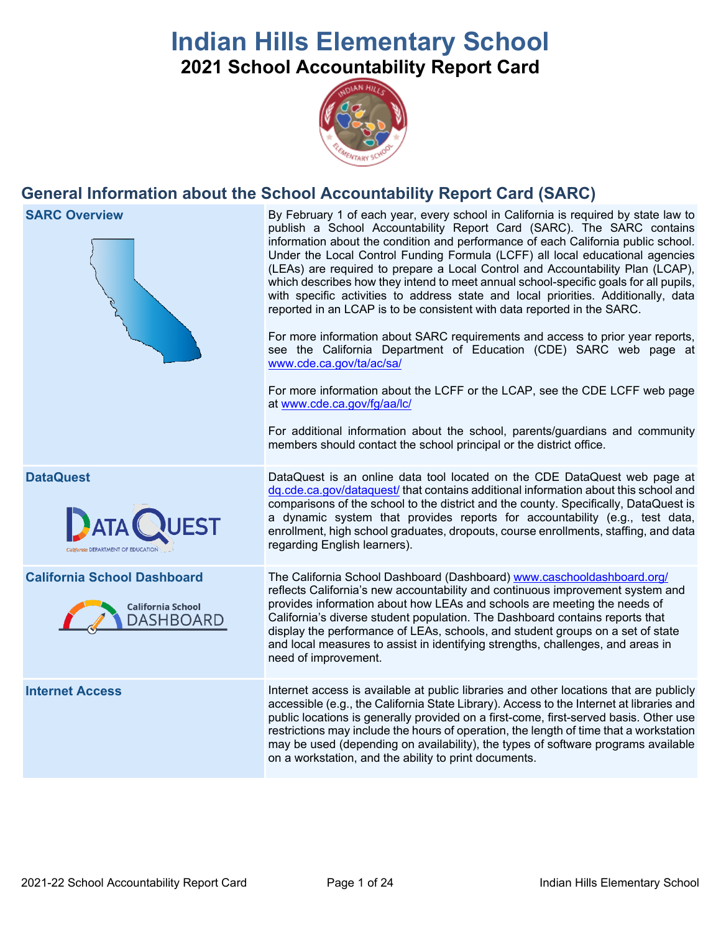# **Indian Hills Elementary School 2021 School Accountability Report Card**



## **General Information about the School Accountability Report Card (SARC)**

**SARC Overview** By February 1 of each year, every school in California is required by state law to publish a School Accountability Report Card (SARC). The SARC contains information about the condition and performance of each California public school. Under the Local Control Funding Formula (LCFF) all local educational agencies (LEAs) are required to prepare a Local Control and Accountability Plan (LCAP), which describes how they intend to meet annual school-specific goals for all pupils, with specific activities to address state and local priorities. Additionally, data reported in an LCAP is to be consistent with data reported in the SARC. For more information about SARC requirements and access to prior year reports, see the California Department of Education (CDE) SARC web page at [www.cde.ca.gov/ta/ac/sa/](https://www.cde.ca.gov/ta/ac/sa/) For more information about the LCFF or the LCAP, see the CDE LCFF web page at [www.cde.ca.gov/fg/aa/lc/](https://www.cde.ca.gov/fg/aa/lc/) For additional information about the school, parents/guardians and community members should contact the school principal or the district office. **DataQuest** DataQuest is an online data tool located on the CDE DataQuest web page at [dq.cde.ca.gov/dataquest/](https://dq.cde.ca.gov/dataquest/) that contains additional information about this school and comparisons of the school to the district and the county. Specifically, DataQuest is a dynamic system that provides reports for accountability (e.g., test data, enrollment, high school graduates, dropouts, course enrollments, staffing, and data regarding English learners). **California School Dashboard** The California School Dashboard (Dashboard) [www.caschooldashboard.org/](http://www.caschooldashboard.org/) reflects California's new accountability and continuous improvement system and provides information about how LEAs and schools are meeting the needs of **California School** California's diverse student population. The Dashboard contains reports that DASHBOARD display the performance of LEAs, schools, and student groups on a set of state and local measures to assist in identifying strengths, challenges, and areas in need of improvement. **Internet Access** Internet access is available at public libraries and other locations that are publicly accessible (e.g., the California State Library). Access to the Internet at libraries and public locations is generally provided on a first-come, first-served basis. Other use restrictions may include the hours of operation, the length of time that a workstation may be used (depending on availability), the types of software programs available

on a workstation, and the ability to print documents.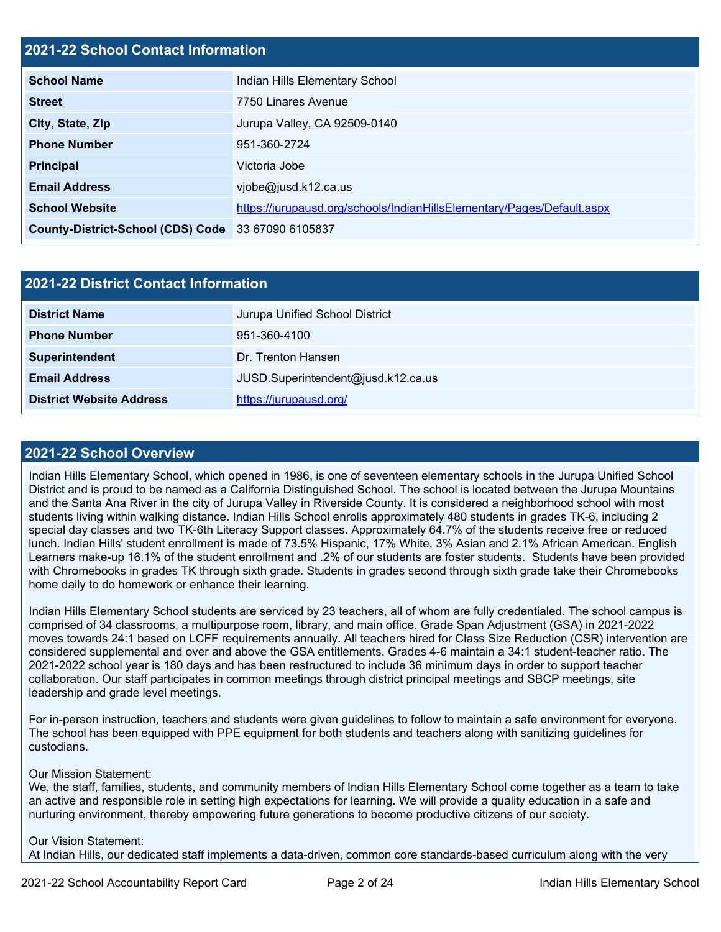### **2021-22 School Contact Information**

| <b>School Name</b>                                 | Indian Hills Elementary School                                         |
|----------------------------------------------------|------------------------------------------------------------------------|
| <b>Street</b>                                      | 7750 Linares Avenue                                                    |
| City, State, Zip                                   | Jurupa Valley, CA 92509-0140                                           |
| <b>Phone Number</b>                                | 951-360-2724                                                           |
| <b>Principal</b>                                   | Victoria Jobe                                                          |
| <b>Email Address</b>                               | $v$ jobe@jusd.k12.ca.us                                                |
| <b>School Website</b>                              | https://jurupausd.org/schools/IndianHillsElementary/Pages/Default.aspx |
| County-District-School (CDS) Code 33 67090 6105837 |                                                                        |

| 2021-22 District Contact Information |                                    |  |  |
|--------------------------------------|------------------------------------|--|--|
| <b>District Name</b>                 | Jurupa Unified School District     |  |  |
| <b>Phone Number</b>                  | 951-360-4100                       |  |  |
| Superintendent                       | Dr. Trenton Hansen                 |  |  |
| <b>Email Address</b>                 | JUSD.Superintendent@jusd.k12.ca.us |  |  |
| <b>District Website Address</b>      | https://jurupausd.org/             |  |  |

### **2021-22 School Overview**

Indian Hills Elementary School, which opened in 1986, is one of seventeen elementary schools in the Jurupa Unified School District and is proud to be named as a California Distinguished School. The school is located between the Jurupa Mountains and the Santa Ana River in the city of Jurupa Valley in Riverside County. It is considered a neighborhood school with most students living within walking distance. Indian Hills School enrolls approximately 480 students in grades TK-6, including 2 special day classes and two TK-6th Literacy Support classes. Approximately 64.7% of the students receive free or reduced lunch. Indian Hills' student enrollment is made of 73.5% Hispanic, 17% White, 3% Asian and 2.1% African American. English Learners make-up 16.1% of the student enrollment and .2% of our students are foster students. Students have been provided with Chromebooks in grades TK through sixth grade. Students in grades second through sixth grade take their Chromebooks home daily to do homework or enhance their learning.

Indian Hills Elementary School students are serviced by 23 teachers, all of whom are fully credentialed. The school campus is comprised of 34 classrooms, a multipurpose room, library, and main office. Grade Span Adjustment (GSA) in 2021-2022 moves towards 24:1 based on LCFF requirements annually. All teachers hired for Class Size Reduction (CSR) intervention are considered supplemental and over and above the GSA entitlements. Grades 4-6 maintain a 34:1 student-teacher ratio. The 2021-2022 school year is 180 days and has been restructured to include 36 minimum days in order to support teacher collaboration. Our staff participates in common meetings through district principal meetings and SBCP meetings, site leadership and grade level meetings.

For in-person instruction, teachers and students were given guidelines to follow to maintain a safe environment for everyone. The school has been equipped with PPE equipment for both students and teachers along with sanitizing guidelines for custodians.

### Our Mission Statement:

We, the staff, families, students, and community members of Indian Hills Elementary School come together as a team to take an active and responsible role in setting high expectations for learning. We will provide a quality education in a safe and nurturing environment, thereby empowering future generations to become productive citizens of our society.

### Our Vision Statement: At Indian Hills, our dedicated staff implements a data-driven, common core standards-based curriculum along with the very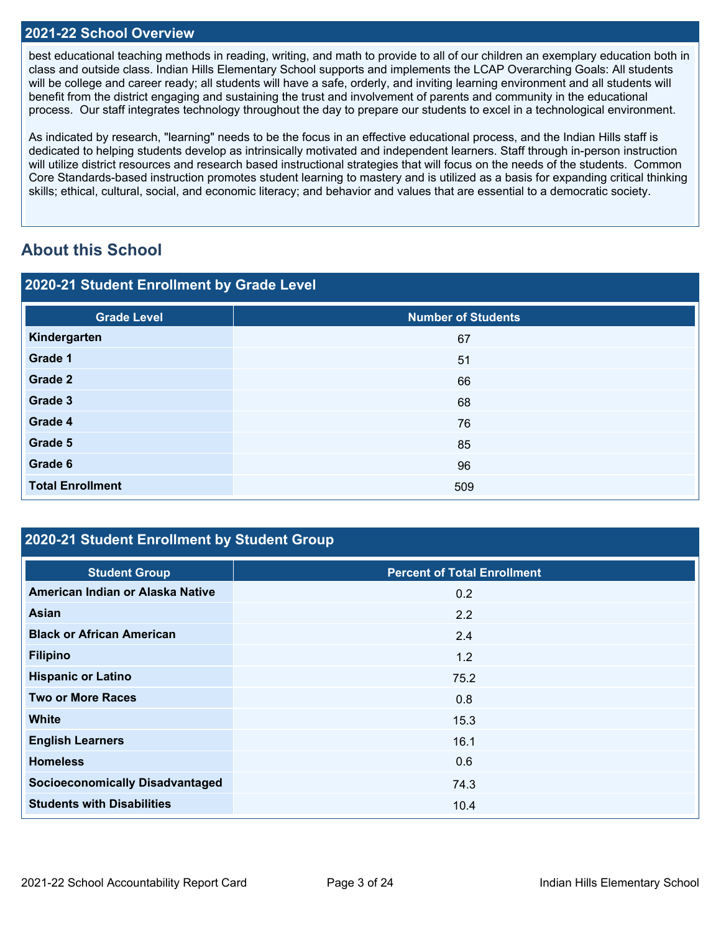### **2021-22 School Overview**

best educational teaching methods in reading, writing, and math to provide to all of our children an exemplary education both in class and outside class. Indian Hills Elementary School supports and implements the LCAP Overarching Goals: All students will be college and career ready; all students will have a safe, orderly, and inviting learning environment and all students will benefit from the district engaging and sustaining the trust and involvement of parents and community in the educational process. Our staff integrates technology throughout the day to prepare our students to excel in a technological environment.

As indicated by research, "learning" needs to be the focus in an effective educational process, and the Indian Hills staff is dedicated to helping students develop as intrinsically motivated and independent learners. Staff through in-person instruction will utilize district resources and research based instructional strategies that will focus on the needs of the students. Common Core Standards-based instruction promotes student learning to mastery and is utilized as a basis for expanding critical thinking skills; ethical, cultural, social, and economic literacy; and behavior and values that are essential to a democratic society.

## **About this School**

| 2020-21 Student Enrollment by Grade Level |                           |  |  |  |
|-------------------------------------------|---------------------------|--|--|--|
| <b>Grade Level</b>                        | <b>Number of Students</b> |  |  |  |
| Kindergarten                              | 67                        |  |  |  |
| Grade 1                                   | 51                        |  |  |  |
| Grade 2                                   | 66                        |  |  |  |
| Grade 3                                   | 68                        |  |  |  |
| Grade 4                                   | 76                        |  |  |  |
| Grade 5                                   | 85                        |  |  |  |
| Grade 6                                   | 96                        |  |  |  |
| <b>Total Enrollment</b>                   | 509                       |  |  |  |

## **2020-21 Student Enrollment by Student Group**

| <b>Student Group</b>                   | <b>Percent of Total Enrollment</b> |
|----------------------------------------|------------------------------------|
| American Indian or Alaska Native       | 0.2                                |
| Asian                                  | 2.2                                |
| <b>Black or African American</b>       | 2.4                                |
| <b>Filipino</b>                        | 1.2                                |
| <b>Hispanic or Latino</b>              | 75.2                               |
| <b>Two or More Races</b>               | 0.8                                |
| <b>White</b>                           | 15.3                               |
| <b>English Learners</b>                | 16.1                               |
| <b>Homeless</b>                        | 0.6                                |
| <b>Socioeconomically Disadvantaged</b> | 74.3                               |
| <b>Students with Disabilities</b>      | 10.4                               |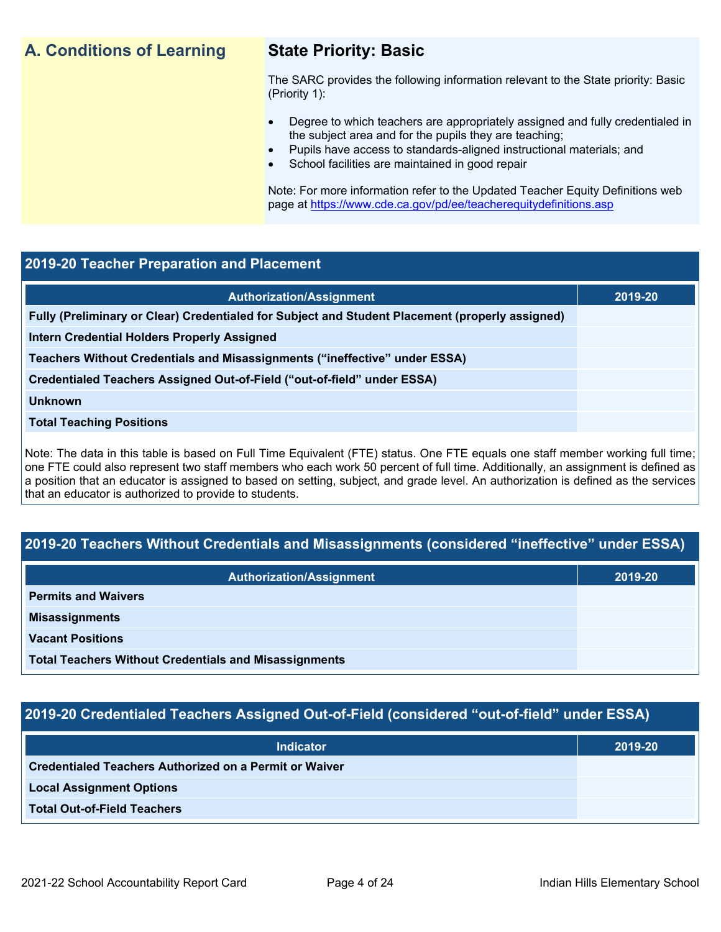## **A. Conditions of Learning State Priority: Basic**

The SARC provides the following information relevant to the State priority: Basic (Priority 1):

- Degree to which teachers are appropriately assigned and fully credentialed in the subject area and for the pupils they are teaching;
	- Pupils have access to standards-aligned instructional materials; and
- School facilities are maintained in good repair

Note: For more information refer to the Updated Teacher Equity Definitions web page at<https://www.cde.ca.gov/pd/ee/teacherequitydefinitions.asp>

### **2019-20 Teacher Preparation and Placement**

| <b>Authorization/Assignment</b>                                                                 | 2019-20 |
|-------------------------------------------------------------------------------------------------|---------|
| Fully (Preliminary or Clear) Credentialed for Subject and Student Placement (properly assigned) |         |
| <b>Intern Credential Holders Properly Assigned</b>                                              |         |
| Teachers Without Credentials and Misassignments ("ineffective" under ESSA)                      |         |
| Credentialed Teachers Assigned Out-of-Field ("out-of-field" under ESSA)                         |         |
| <b>Unknown</b>                                                                                  |         |
| <b>Total Teaching Positions</b>                                                                 |         |
|                                                                                                 |         |

Note: The data in this table is based on Full Time Equivalent (FTE) status. One FTE equals one staff member working full time; one FTE could also represent two staff members who each work 50 percent of full time. Additionally, an assignment is defined as a position that an educator is assigned to based on setting, subject, and grade level. An authorization is defined as the services that an educator is authorized to provide to students.

## **2019-20 Teachers Without Credentials and Misassignments (considered "ineffective" under ESSA)**

| <b>Authorization/Assignment</b>                              | 2019-20 |
|--------------------------------------------------------------|---------|
| <b>Permits and Waivers</b>                                   |         |
| <b>Misassignments</b>                                        |         |
| <b>Vacant Positions</b>                                      |         |
| <b>Total Teachers Without Credentials and Misassignments</b> |         |

## **2019-20 Credentialed Teachers Assigned Out-of-Field (considered "out-of-field" under ESSA)**

| <b>Indicator</b>                                       | 2019-20 |
|--------------------------------------------------------|---------|
| Credentialed Teachers Authorized on a Permit or Waiver |         |
| <b>Local Assignment Options</b>                        |         |
| <b>Total Out-of-Field Teachers</b>                     |         |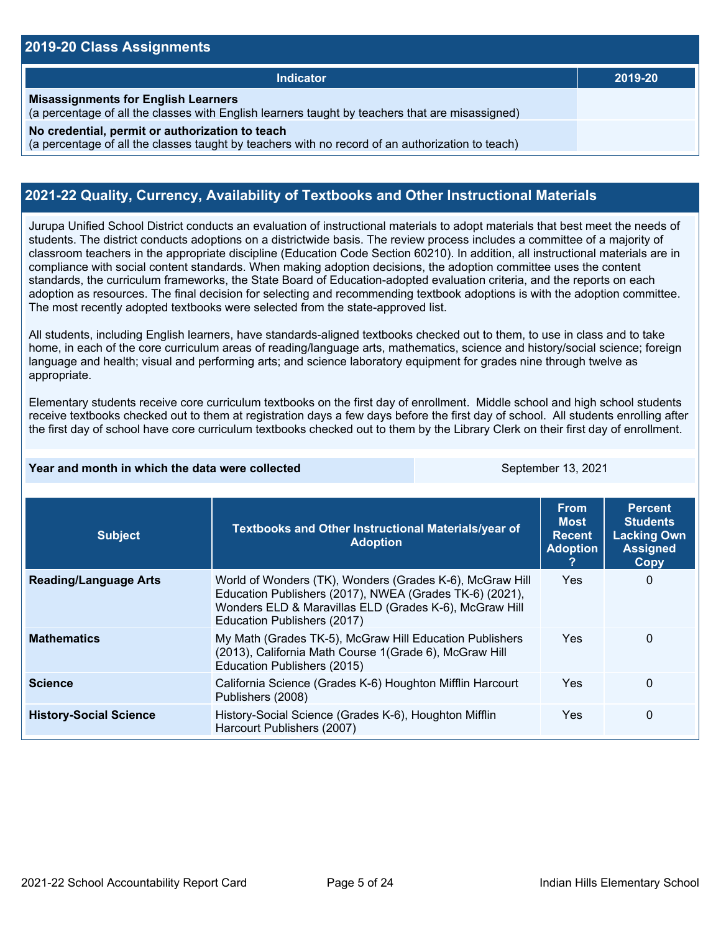### **2019-20 Class Assignments**

| Indicator                                                                                                                                           | 2019-20 |
|-----------------------------------------------------------------------------------------------------------------------------------------------------|---------|
| <b>Misassignments for English Learners</b><br>(a percentage of all the classes with English learners taught by teachers that are misassigned)       |         |
| No credential, permit or authorization to teach<br>(a percentage of all the classes taught by teachers with no record of an authorization to teach) |         |

### **2021-22 Quality, Currency, Availability of Textbooks and Other Instructional Materials**

Jurupa Unified School District conducts an evaluation of instructional materials to adopt materials that best meet the needs of students. The district conducts adoptions on a districtwide basis. The review process includes a committee of a majority of classroom teachers in the appropriate discipline (Education Code Section 60210). In addition, all instructional materials are in compliance with social content standards. When making adoption decisions, the adoption committee uses the content standards, the curriculum frameworks, the State Board of Education-adopted evaluation criteria, and the reports on each adoption as resources. The final decision for selecting and recommending textbook adoptions is with the adoption committee. The most recently adopted textbooks were selected from the state-approved list.

All students, including English learners, have standards-aligned textbooks checked out to them, to use in class and to take home, in each of the core curriculum areas of reading/language arts, mathematics, science and history/social science; foreign language and health; visual and performing arts; and science laboratory equipment for grades nine through twelve as appropriate.

Elementary students receive core curriculum textbooks on the first day of enrollment. Middle school and high school students receive textbooks checked out to them at registration days a few days before the first day of school. All students enrolling after the first day of school have core curriculum textbooks checked out to them by the Library Clerk on their first day of enrollment.

### **Year and month in which the data were collected** September 13, 2021

| <b>Subject</b>                | Textbooks and Other Instructional Materials/year of<br><b>Adoption</b>                                                                                                                                       | <b>From</b><br><b>Most</b><br><b>Recent</b><br><b>Adoption</b> | <b>Percent</b><br><b>Students</b><br><b>Lacking Own</b><br><b>Assigned</b><br>Copy |
|-------------------------------|--------------------------------------------------------------------------------------------------------------------------------------------------------------------------------------------------------------|----------------------------------------------------------------|------------------------------------------------------------------------------------|
| <b>Reading/Language Arts</b>  | World of Wonders (TK), Wonders (Grades K-6), McGraw Hill<br>Education Publishers (2017), NWEA (Grades TK-6) (2021),<br>Wonders ELD & Maravillas ELD (Grades K-6), McGraw Hill<br>Education Publishers (2017) | <b>Yes</b>                                                     | 0                                                                                  |
| <b>Mathematics</b>            | My Math (Grades TK-5), McGraw Hill Education Publishers<br>(2013), California Math Course 1(Grade 6), McGraw Hill<br>Education Publishers (2015)                                                             | <b>Yes</b>                                                     | $\Omega$                                                                           |
| <b>Science</b>                | California Science (Grades K-6) Houghton Mifflin Harcourt<br>Publishers (2008)                                                                                                                               | Yes                                                            | $\Omega$                                                                           |
| <b>History-Social Science</b> | History-Social Science (Grades K-6), Houghton Mifflin<br>Harcourt Publishers (2007)                                                                                                                          | <b>Yes</b>                                                     | 0                                                                                  |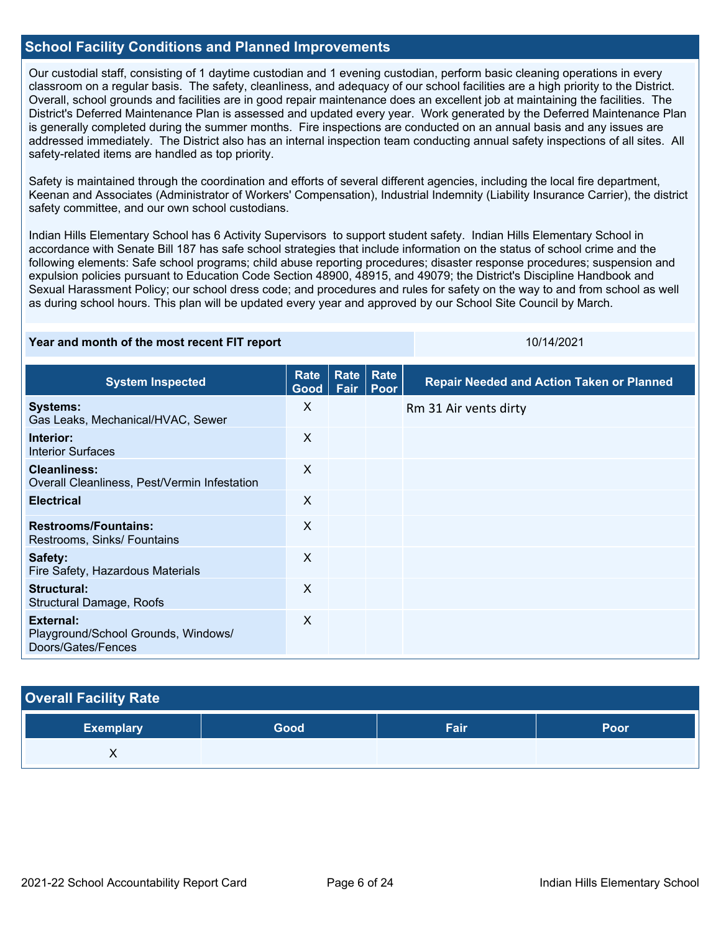### **School Facility Conditions and Planned Improvements**

Our custodial staff, consisting of 1 daytime custodian and 1 evening custodian, perform basic cleaning operations in every classroom on a regular basis. The safety, cleanliness, and adequacy of our school facilities are a high priority to the District. Overall, school grounds and facilities are in good repair maintenance does an excellent job at maintaining the facilities. The District's Deferred Maintenance Plan is assessed and updated every year. Work generated by the Deferred Maintenance Plan is generally completed during the summer months. Fire inspections are conducted on an annual basis and any issues are addressed immediately. The District also has an internal inspection team conducting annual safety inspections of all sites. All safety-related items are handled as top priority.

Safety is maintained through the coordination and efforts of several different agencies, including the local fire department, Keenan and Associates (Administrator of Workers' Compensation), Industrial Indemnity (Liability Insurance Carrier), the district safety committee, and our own school custodians.

Indian Hills Elementary School has 6 Activity Supervisors to support student safety. Indian Hills Elementary School in accordance with Senate Bill 187 has safe school strategies that include information on the status of school crime and the following elements: Safe school programs; child abuse reporting procedures; disaster response procedures; suspension and expulsion policies pursuant to Education Code Section 48900, 48915, and 49079; the District's Discipline Handbook and Sexual Harassment Policy; our school dress code; and procedures and rules for safety on the way to and from school as well as during school hours. This plan will be updated every year and approved by our School Site Council by March.

### **Year and month of the most recent FIT report** 10/14/2021 10/14/2021

| <b>System Inspected</b>                                                | <b>Rate</b><br>Good | Rate<br>Fair | Rate<br>Poor | <b>Repair Needed and Action Taken or Planned</b> |
|------------------------------------------------------------------------|---------------------|--------------|--------------|--------------------------------------------------|
| <b>Systems:</b><br>Gas Leaks, Mechanical/HVAC, Sewer                   | X                   |              |              | Rm 31 Air vents dirty                            |
| Interior:<br><b>Interior Surfaces</b>                                  | $\sf X$             |              |              |                                                  |
| <b>Cleanliness:</b><br>Overall Cleanliness, Pest/Vermin Infestation    | X                   |              |              |                                                  |
| <b>Electrical</b>                                                      | X                   |              |              |                                                  |
| <b>Restrooms/Fountains:</b><br>Restrooms, Sinks/ Fountains             | X                   |              |              |                                                  |
| Safety:<br>Fire Safety, Hazardous Materials                            | X                   |              |              |                                                  |
| Structural:<br><b>Structural Damage, Roofs</b>                         | X                   |              |              |                                                  |
| External:<br>Playground/School Grounds, Windows/<br>Doors/Gates/Fences | X                   |              |              |                                                  |

### **Overall Facility Rate**

| <b>Exemplary</b> | Good | Fair | Poor |
|------------------|------|------|------|
|                  |      |      |      |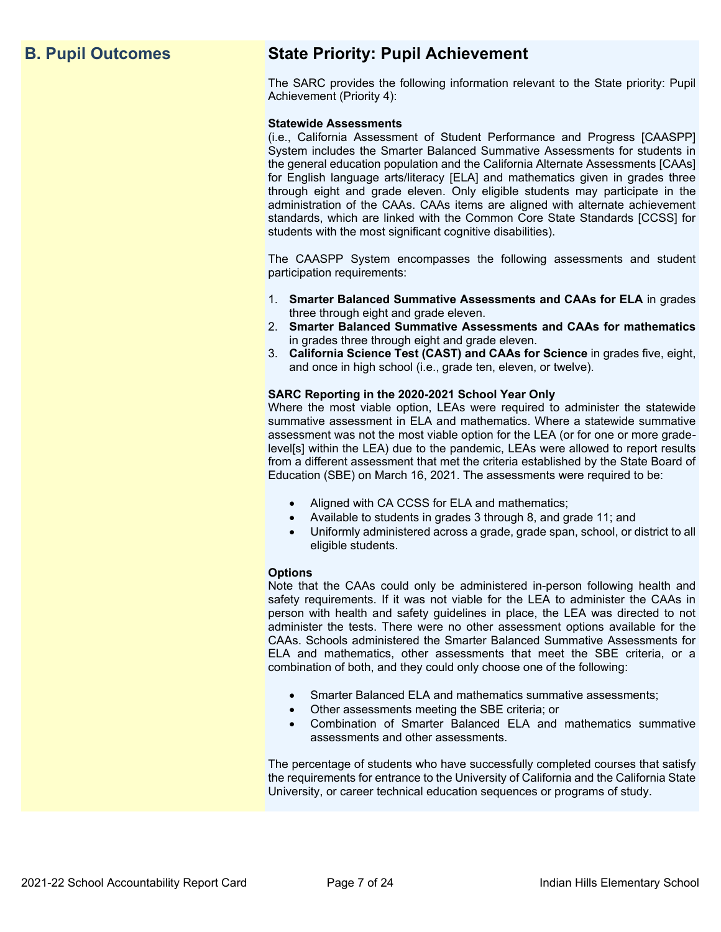## **B. Pupil Outcomes State Priority: Pupil Achievement**

The SARC provides the following information relevant to the State priority: Pupil Achievement (Priority 4):

### **Statewide Assessments**

(i.e., California Assessment of Student Performance and Progress [CAASPP] System includes the Smarter Balanced Summative Assessments for students in the general education population and the California Alternate Assessments [CAAs] for English language arts/literacy [ELA] and mathematics given in grades three through eight and grade eleven. Only eligible students may participate in the administration of the CAAs. CAAs items are aligned with alternate achievement standards, which are linked with the Common Core State Standards [CCSS] for students with the most significant cognitive disabilities).

The CAASPP System encompasses the following assessments and student participation requirements:

- 1. **Smarter Balanced Summative Assessments and CAAs for ELA** in grades three through eight and grade eleven.
- 2. **Smarter Balanced Summative Assessments and CAAs for mathematics** in grades three through eight and grade eleven.
- 3. **California Science Test (CAST) and CAAs for Science** in grades five, eight, and once in high school (i.e., grade ten, eleven, or twelve).

### **SARC Reporting in the 2020-2021 School Year Only**

Where the most viable option, LEAs were required to administer the statewide summative assessment in ELA and mathematics. Where a statewide summative assessment was not the most viable option for the LEA (or for one or more gradelevel[s] within the LEA) due to the pandemic, LEAs were allowed to report results from a different assessment that met the criteria established by the State Board of Education (SBE) on March 16, 2021. The assessments were required to be:

- Aligned with CA CCSS for ELA and mathematics;
- Available to students in grades 3 through 8, and grade 11; and
- Uniformly administered across a grade, grade span, school, or district to all eligible students.

### **Options**

Note that the CAAs could only be administered in-person following health and safety requirements. If it was not viable for the LEA to administer the CAAs in person with health and safety guidelines in place, the LEA was directed to not administer the tests. There were no other assessment options available for the CAAs. Schools administered the Smarter Balanced Summative Assessments for ELA and mathematics, other assessments that meet the SBE criteria, or a combination of both, and they could only choose one of the following:

- Smarter Balanced ELA and mathematics summative assessments;
- Other assessments meeting the SBE criteria; or
- Combination of Smarter Balanced ELA and mathematics summative assessments and other assessments.

The percentage of students who have successfully completed courses that satisfy the requirements for entrance to the University of California and the California State University, or career technical education sequences or programs of study.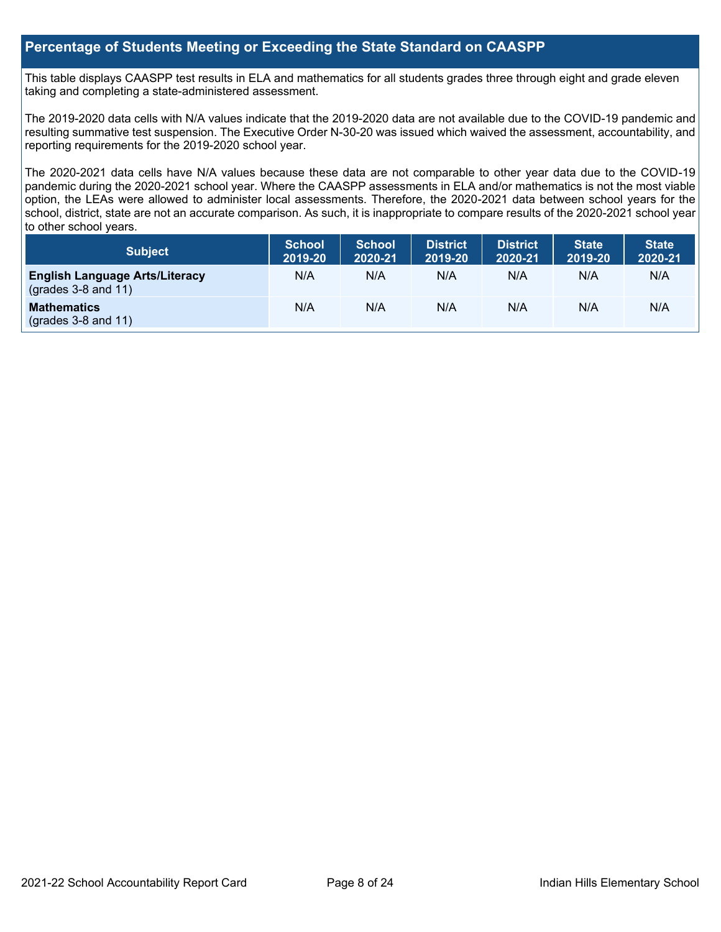### **Percentage of Students Meeting or Exceeding the State Standard on CAASPP**

This table displays CAASPP test results in ELA and mathematics for all students grades three through eight and grade eleven taking and completing a state-administered assessment.

The 2019-2020 data cells with N/A values indicate that the 2019-2020 data are not available due to the COVID-19 pandemic and resulting summative test suspension. The Executive Order N-30-20 was issued which waived the assessment, accountability, and reporting requirements for the 2019-2020 school year.

The 2020-2021 data cells have N/A values because these data are not comparable to other year data due to the COVID-19 pandemic during the 2020-2021 school year. Where the CAASPP assessments in ELA and/or mathematics is not the most viable option, the LEAs were allowed to administer local assessments. Therefore, the 2020-2021 data between school years for the school, district, state are not an accurate comparison. As such, it is inappropriate to compare results of the 2020-2021 school year to other school years.

| Subject                                                        | <b>School</b><br>2019-20 | <b>School</b><br>2020-21 | <b>District</b><br>2019-20 | <b>District</b><br>2020-21 | <b>State</b><br>2019-20 | <b>State</b><br>2020-21 |
|----------------------------------------------------------------|--------------------------|--------------------------|----------------------------|----------------------------|-------------------------|-------------------------|
| <b>English Language Arts/Literacy</b><br>$(grades 3-8 and 11)$ | N/A                      | N/A                      | N/A                        | N/A                        | N/A                     | N/A                     |
| <b>Mathematics</b><br>$($ grades 3-8 and 11 $)$                | N/A                      | N/A                      | N/A                        | N/A                        | N/A                     | N/A                     |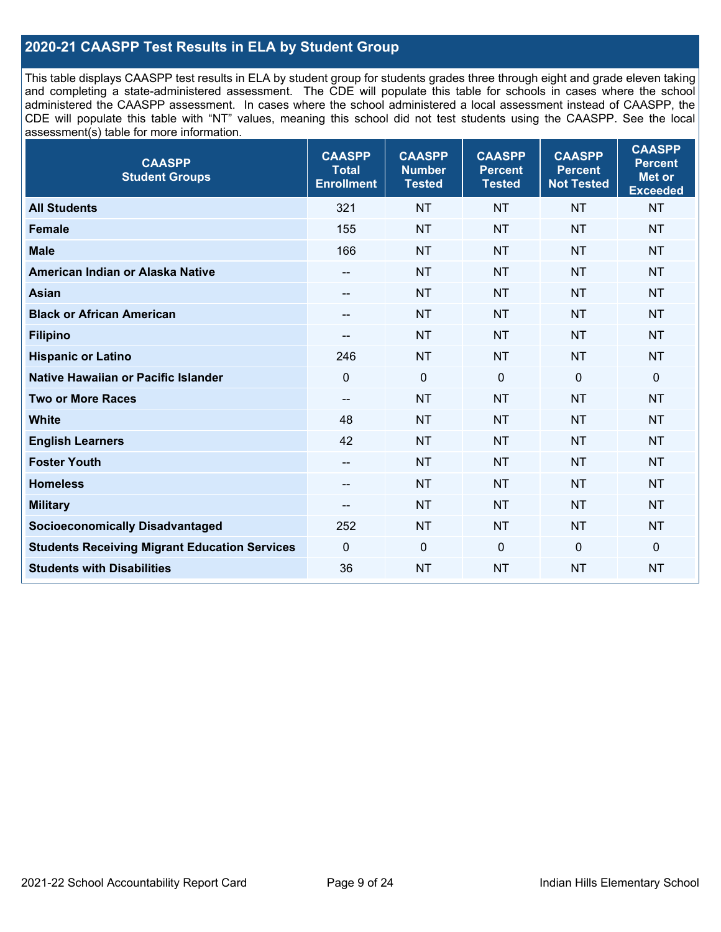## **2020-21 CAASPP Test Results in ELA by Student Group**

This table displays CAASPP test results in ELA by student group for students grades three through eight and grade eleven taking and completing a state-administered assessment. The CDE will populate this table for schools in cases where the school administered the CAASPP assessment. In cases where the school administered a local assessment instead of CAASPP, the CDE will populate this table with "NT" values, meaning this school did not test students using the CAASPP. See the local assessment(s) table for more information.

| <b>CAASPP</b><br><b>Student Groups</b>               | <b>CAASPP</b><br><b>Total</b><br><b>Enrollment</b> | <b>CAASPP</b><br><b>Number</b><br><b>Tested</b> | <b>CAASPP</b><br><b>Percent</b><br><b>Tested</b> | <b>CAASPP</b><br><b>Percent</b><br><b>Not Tested</b> | <b>CAASPP</b><br><b>Percent</b><br><b>Met or</b><br><b>Exceeded</b> |
|------------------------------------------------------|----------------------------------------------------|-------------------------------------------------|--------------------------------------------------|------------------------------------------------------|---------------------------------------------------------------------|
| <b>All Students</b>                                  | 321                                                | <b>NT</b>                                       | <b>NT</b>                                        | <b>NT</b>                                            | <b>NT</b>                                                           |
| <b>Female</b>                                        | 155                                                | <b>NT</b>                                       | <b>NT</b>                                        | <b>NT</b>                                            | <b>NT</b>                                                           |
| <b>Male</b>                                          | 166                                                | <b>NT</b>                                       | <b>NT</b>                                        | <b>NT</b>                                            | <b>NT</b>                                                           |
| American Indian or Alaska Native                     | --                                                 | <b>NT</b>                                       | <b>NT</b>                                        | <b>NT</b>                                            | <b>NT</b>                                                           |
| <b>Asian</b>                                         | --                                                 | <b>NT</b>                                       | <b>NT</b>                                        | <b>NT</b>                                            | <b>NT</b>                                                           |
| <b>Black or African American</b>                     | --                                                 | <b>NT</b>                                       | <b>NT</b>                                        | <b>NT</b>                                            | <b>NT</b>                                                           |
| <b>Filipino</b>                                      | --                                                 | <b>NT</b>                                       | <b>NT</b>                                        | <b>NT</b>                                            | <b>NT</b>                                                           |
| <b>Hispanic or Latino</b>                            | 246                                                | <b>NT</b>                                       | <b>NT</b>                                        | <b>NT</b>                                            | <b>NT</b>                                                           |
| <b>Native Hawaiian or Pacific Islander</b>           | $\mathbf 0$                                        | $\mathbf 0$                                     | $\mathbf 0$                                      | $\mathbf 0$                                          | $\mathbf 0$                                                         |
| <b>Two or More Races</b>                             | --                                                 | <b>NT</b>                                       | <b>NT</b>                                        | <b>NT</b>                                            | <b>NT</b>                                                           |
| <b>White</b>                                         | 48                                                 | <b>NT</b>                                       | <b>NT</b>                                        | <b>NT</b>                                            | <b>NT</b>                                                           |
| <b>English Learners</b>                              | 42                                                 | <b>NT</b>                                       | <b>NT</b>                                        | <b>NT</b>                                            | <b>NT</b>                                                           |
| <b>Foster Youth</b>                                  | --                                                 | <b>NT</b>                                       | <b>NT</b>                                        | <b>NT</b>                                            | <b>NT</b>                                                           |
| <b>Homeless</b>                                      | $\overline{\phantom{a}}$                           | <b>NT</b>                                       | <b>NT</b>                                        | <b>NT</b>                                            | <b>NT</b>                                                           |
| <b>Military</b>                                      | --                                                 | <b>NT</b>                                       | <b>NT</b>                                        | <b>NT</b>                                            | <b>NT</b>                                                           |
| <b>Socioeconomically Disadvantaged</b>               | 252                                                | <b>NT</b>                                       | <b>NT</b>                                        | <b>NT</b>                                            | <b>NT</b>                                                           |
| <b>Students Receiving Migrant Education Services</b> | $\mathbf 0$                                        | $\mathbf 0$                                     | $\Omega$                                         | $\mathbf 0$                                          | 0                                                                   |
| <b>Students with Disabilities</b>                    | 36                                                 | <b>NT</b>                                       | <b>NT</b>                                        | <b>NT</b>                                            | <b>NT</b>                                                           |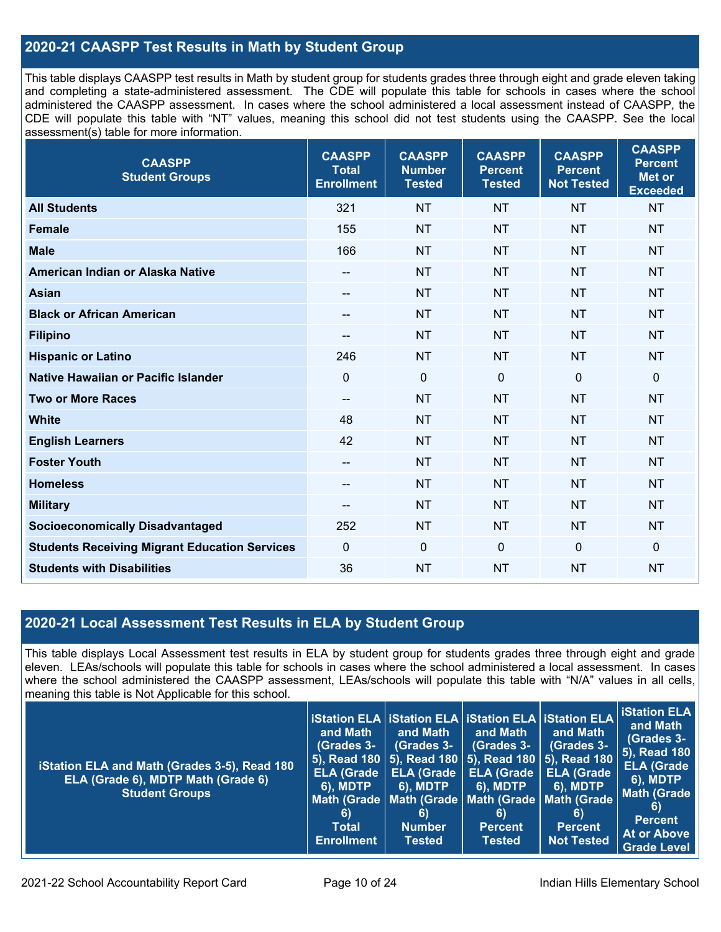## **2020-21 CAASPP Test Results in Math by Student Group**

This table displays CAASPP test results in Math by student group for students grades three through eight and grade eleven taking and completing a state-administered assessment. The CDE will populate this table for schools in cases where the school administered the CAASPP assessment. In cases where the school administered a local assessment instead of CAASPP, the CDE will populate this table with "NT" values, meaning this school did not test students using the CAASPP. See the local assessment(s) table for more information.

| <b>CAASPP</b><br><b>Student Groups</b>               | <b>CAASPP</b><br><b>Total</b><br><b>Enrollment</b> | <b>CAASPP</b><br><b>Number</b><br><b>Tested</b> | <b>CAASPP</b><br><b>Percent</b><br><b>Tested</b> | <b>CAASPP</b><br><b>Percent</b><br><b>Not Tested</b> | <b>CAASPP</b><br><b>Percent</b><br><b>Met or</b><br><b>Exceeded</b> |
|------------------------------------------------------|----------------------------------------------------|-------------------------------------------------|--------------------------------------------------|------------------------------------------------------|---------------------------------------------------------------------|
| <b>All Students</b>                                  | 321                                                | <b>NT</b>                                       | <b>NT</b>                                        | <b>NT</b>                                            | <b>NT</b>                                                           |
| <b>Female</b>                                        | 155                                                | <b>NT</b>                                       | <b>NT</b>                                        | <b>NT</b>                                            | <b>NT</b>                                                           |
| <b>Male</b>                                          | 166                                                | <b>NT</b>                                       | <b>NT</b>                                        | <b>NT</b>                                            | <b>NT</b>                                                           |
| American Indian or Alaska Native                     | $\overline{\phantom{a}}$                           | <b>NT</b>                                       | <b>NT</b>                                        | <b>NT</b>                                            | <b>NT</b>                                                           |
| <b>Asian</b>                                         | $\hspace{0.05cm}$ – $\hspace{0.05cm}$              | <b>NT</b>                                       | <b>NT</b>                                        | <b>NT</b>                                            | <b>NT</b>                                                           |
| <b>Black or African American</b>                     | $- -$                                              | <b>NT</b>                                       | <b>NT</b>                                        | <b>NT</b>                                            | <b>NT</b>                                                           |
| <b>Filipino</b>                                      | $\sim$                                             | <b>NT</b>                                       | <b>NT</b>                                        | <b>NT</b>                                            | <b>NT</b>                                                           |
| <b>Hispanic or Latino</b>                            | 246                                                | <b>NT</b>                                       | <b>NT</b>                                        | <b>NT</b>                                            | <b>NT</b>                                                           |
| <b>Native Hawaiian or Pacific Islander</b>           | $\mathbf 0$                                        | $\mathbf 0$                                     | $\mathbf 0$                                      | $\overline{0}$                                       | $\mathbf 0$                                                         |
| <b>Two or More Races</b>                             | $\overline{\phantom{a}}$                           | <b>NT</b>                                       | <b>NT</b>                                        | <b>NT</b>                                            | <b>NT</b>                                                           |
| <b>White</b>                                         | 48                                                 | <b>NT</b>                                       | <b>NT</b>                                        | <b>NT</b>                                            | <b>NT</b>                                                           |
| <b>English Learners</b>                              | 42                                                 | <b>NT</b>                                       | <b>NT</b>                                        | <b>NT</b>                                            | <b>NT</b>                                                           |
| <b>Foster Youth</b>                                  | $\sim$                                             | <b>NT</b>                                       | <b>NT</b>                                        | <b>NT</b>                                            | <b>NT</b>                                                           |
| <b>Homeless</b>                                      | $\hspace{0.05cm}$ – $\hspace{0.05cm}$              | <b>NT</b>                                       | <b>NT</b>                                        | <b>NT</b>                                            | <b>NT</b>                                                           |
| <b>Military</b>                                      | $\hspace{0.05cm}$ – $\hspace{0.05cm}$              | <b>NT</b>                                       | <b>NT</b>                                        | <b>NT</b>                                            | <b>NT</b>                                                           |
| <b>Socioeconomically Disadvantaged</b>               | 252                                                | <b>NT</b>                                       | <b>NT</b>                                        | <b>NT</b>                                            | <b>NT</b>                                                           |
| <b>Students Receiving Migrant Education Services</b> | $\mathbf 0$                                        | $\mathbf 0$                                     | $\mathbf{0}$                                     | $\mathbf 0$                                          | $\mathbf 0$                                                         |
| <b>Students with Disabilities</b>                    | 36                                                 | <b>NT</b>                                       | <b>NT</b>                                        | <b>NT</b>                                            | <b>NT</b>                                                           |

### **2020-21 Local Assessment Test Results in ELA by Student Group**

This table displays Local Assessment test results in ELA by student group for students grades three through eight and grade eleven. LEAs/schools will populate this table for schools in cases where the school administered a local assessment. In cases where the school administered the CAASPP assessment, LEAs/schools will populate this table with "N/A" values in all cells, meaning this table is Not Applicable for this school.

| iStation ELA and Math (Grades 3-5), Read 180<br>ELA (Grade 6), MDTP Math (Grade 6)<br><b>Student Groups</b> | ∣ iStation ELA ∣ iStation ELA ∣ iStation ELA ∣ iStation ELA ∣<br>and Math<br>(Grades 3-<br><b>ELA (Grade</b><br><b>6), MDTP</b><br>6)<br><b>Total</b><br><b>Enrollment</b> | and Math<br>(Grades 3-<br><b>ELA (Grade</b><br><b>6), MDTP</b><br>6)<br><b>Number</b><br><b>Tested</b> | and Math<br>(Grades 3-<br>  5), Read 180   5), Read 180   5), Read 180   <u>5), Read 180  </u><br><b>ELA (Grade</b><br><b>6), MDTP</b><br>Math (Grade   Math (Grade   Math (Grade   Math (Grade<br>6)<br><b>Percent</b><br><b>Tested</b> | and Math<br><b>(Grades 3-</b><br><b>ELA (Grade</b><br><b>6), MDTP</b><br>6)<br>Percent<br><b>Not Tested</b> | <b>Station ELA</b><br>and Math<br>(Grades 3-<br><b>5), Read 180</b><br><b>ELA (Grade</b><br><b>6), MDTP</b><br><b>Math (Grade</b><br>6)<br><b>Percent</b><br><b>At or Above</b><br><b>Grade Level</b> |
|-------------------------------------------------------------------------------------------------------------|----------------------------------------------------------------------------------------------------------------------------------------------------------------------------|--------------------------------------------------------------------------------------------------------|------------------------------------------------------------------------------------------------------------------------------------------------------------------------------------------------------------------------------------------|-------------------------------------------------------------------------------------------------------------|-------------------------------------------------------------------------------------------------------------------------------------------------------------------------------------------------------|
|-------------------------------------------------------------------------------------------------------------|----------------------------------------------------------------------------------------------------------------------------------------------------------------------------|--------------------------------------------------------------------------------------------------------|------------------------------------------------------------------------------------------------------------------------------------------------------------------------------------------------------------------------------------------|-------------------------------------------------------------------------------------------------------------|-------------------------------------------------------------------------------------------------------------------------------------------------------------------------------------------------------|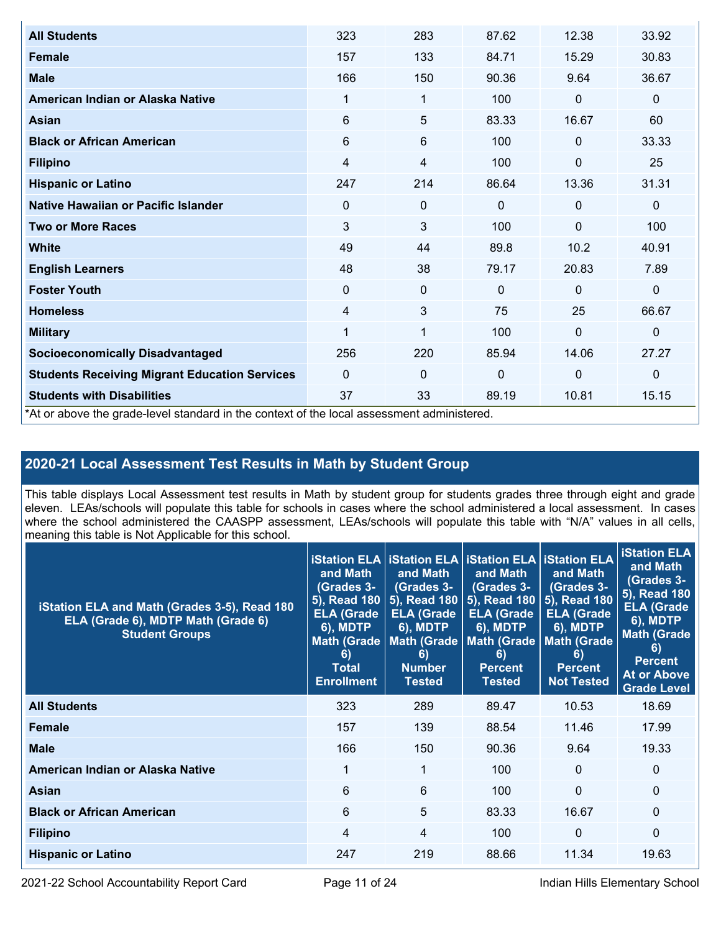| <b>All Students</b>                                                                        | 323      | 283         | 87.62    | 12.38        | 33.92        |
|--------------------------------------------------------------------------------------------|----------|-------------|----------|--------------|--------------|
| <b>Female</b>                                                                              | 157      | 133         | 84.71    | 15.29        | 30.83        |
| <b>Male</b>                                                                                | 166      | 150         | 90.36    | 9.64         | 36.67        |
| American Indian or Alaska Native                                                           | 1        | 1           | 100      | 0            | $\mathbf 0$  |
| <b>Asian</b>                                                                               | 6        | 5           | 83.33    | 16.67        | 60           |
| <b>Black or African American</b>                                                           | 6        | 6           | 100      | $\mathbf 0$  | 33.33        |
| <b>Filipino</b>                                                                            | 4        | 4           | 100      | 0            | 25           |
| <b>Hispanic or Latino</b>                                                                  | 247      | 214         | 86.64    | 13.36        | 31.31        |
| Native Hawaiian or Pacific Islander                                                        | 0        | 0           | $\Omega$ | $\mathbf 0$  | $\mathbf 0$  |
| <b>Two or More Races</b>                                                                   | 3        | 3           | 100      | $\mathbf{0}$ | 100          |
| <b>White</b>                                                                               | 49       | 44          | 89.8     | 10.2         | 40.91        |
| <b>English Learners</b>                                                                    | 48       | 38          | 79.17    | 20.83        | 7.89         |
| <b>Foster Youth</b>                                                                        | $\Omega$ | $\mathbf 0$ | $\Omega$ | $\mathbf{0}$ | $\mathbf 0$  |
| <b>Homeless</b>                                                                            | 4        | 3           | 75       | 25           | 66.67        |
| <b>Military</b>                                                                            | 1        | 1           | 100      | $\Omega$     | $\mathbf{0}$ |
| <b>Socioeconomically Disadvantaged</b>                                                     | 256      | 220         | 85.94    | 14.06        | 27.27        |
| <b>Students Receiving Migrant Education Services</b>                                       | $\Omega$ | 0           | $\Omega$ | 0            | $\mathbf{0}$ |
| <b>Students with Disabilities</b>                                                          | 37       | 33          | 89.19    | 10.81        | 15.15        |
| *At or above the grade-level standard in the context of the local assessment administered. |          |             |          |              |              |

## **2020-21 Local Assessment Test Results in Math by Student Group**

This table displays Local Assessment test results in Math by student group for students grades three through eight and grade eleven. LEAs/schools will populate this table for schools in cases where the school administered a local assessment. In cases where the school administered the CAASPP assessment, LEAs/schools will populate this table with "N/A" values in all cells, meaning this table is Not Applicable for this school.

| iStation ELA and Math (Grades 3-5), Read 180<br>ELA (Grade 6), MDTP Math (Grade 6)<br><b>Student Groups</b> | and Math<br><b>(Grades 3-</b><br>ELA (Grade<br><b>6), MDTP</b><br>6)<br><b>Total</b><br><b>Enrollment</b> | <b>iStation ELA   iStation ELA   iStation ELA   iStation ELA</b><br>and Math<br>(Grades 3-<br>5), Read 180   5), Read 180<br><b>ELA (Grade</b><br><b>6), MDTP</b><br>Math (Grade   Math (Grade  <br>6)<br><b>Number</b><br><b>Tested</b> | and Math<br>(Grades 3-<br>5), Read 180<br><b>ELA (Grade)</b><br><b>6), MDTP</b><br><b>Math (Grade</b><br>6)<br><b>Percent</b><br>Tested | and Math<br>(Grades 3-<br>5), Read 180<br><b>ELA (Grade</b><br><b>6), MDTP</b><br><b>Math (Grade</b><br>6)<br><b>Percent</b><br><b>Not Tested</b> | <b>iStation ELA</b><br>and Math<br>(Grades 3-<br>5), Read 180<br><b>ELA (Grade</b><br><b>6), MDTP</b><br><b>Math (Grade</b><br>6)<br><b>Percent</b><br><b>At or Above</b><br><b>Grade Level</b> |
|-------------------------------------------------------------------------------------------------------------|-----------------------------------------------------------------------------------------------------------|------------------------------------------------------------------------------------------------------------------------------------------------------------------------------------------------------------------------------------------|-----------------------------------------------------------------------------------------------------------------------------------------|---------------------------------------------------------------------------------------------------------------------------------------------------|-------------------------------------------------------------------------------------------------------------------------------------------------------------------------------------------------|
| <b>All Students</b>                                                                                         | 323                                                                                                       | 289                                                                                                                                                                                                                                      | 89.47                                                                                                                                   | 10.53                                                                                                                                             | 18.69                                                                                                                                                                                           |
| Female                                                                                                      | 157                                                                                                       | 139                                                                                                                                                                                                                                      | 88.54                                                                                                                                   | 11.46                                                                                                                                             | 17.99                                                                                                                                                                                           |
| <b>Male</b>                                                                                                 | 166                                                                                                       | 150                                                                                                                                                                                                                                      | 90.36                                                                                                                                   | 9.64                                                                                                                                              | 19.33                                                                                                                                                                                           |
| American Indian or Alaska Native                                                                            | 1                                                                                                         | 1                                                                                                                                                                                                                                        | 100                                                                                                                                     | $\overline{0}$                                                                                                                                    | $\mathbf{0}$                                                                                                                                                                                    |
| <b>Asian</b>                                                                                                | 6                                                                                                         | 6                                                                                                                                                                                                                                        | 100 <sub>1</sub>                                                                                                                        | $\Omega$                                                                                                                                          | $\Omega$                                                                                                                                                                                        |
| <b>Black or African American</b>                                                                            | 6                                                                                                         | 5                                                                                                                                                                                                                                        | 83.33                                                                                                                                   | 16.67                                                                                                                                             | $\Omega$                                                                                                                                                                                        |
| <b>Filipino</b>                                                                                             | 4                                                                                                         | 4                                                                                                                                                                                                                                        | 100                                                                                                                                     | $\Omega$                                                                                                                                          | $\Omega$                                                                                                                                                                                        |
| <b>Hispanic or Latino</b>                                                                                   | 247                                                                                                       | 219                                                                                                                                                                                                                                      | 88.66                                                                                                                                   | 11.34                                                                                                                                             | 19.63                                                                                                                                                                                           |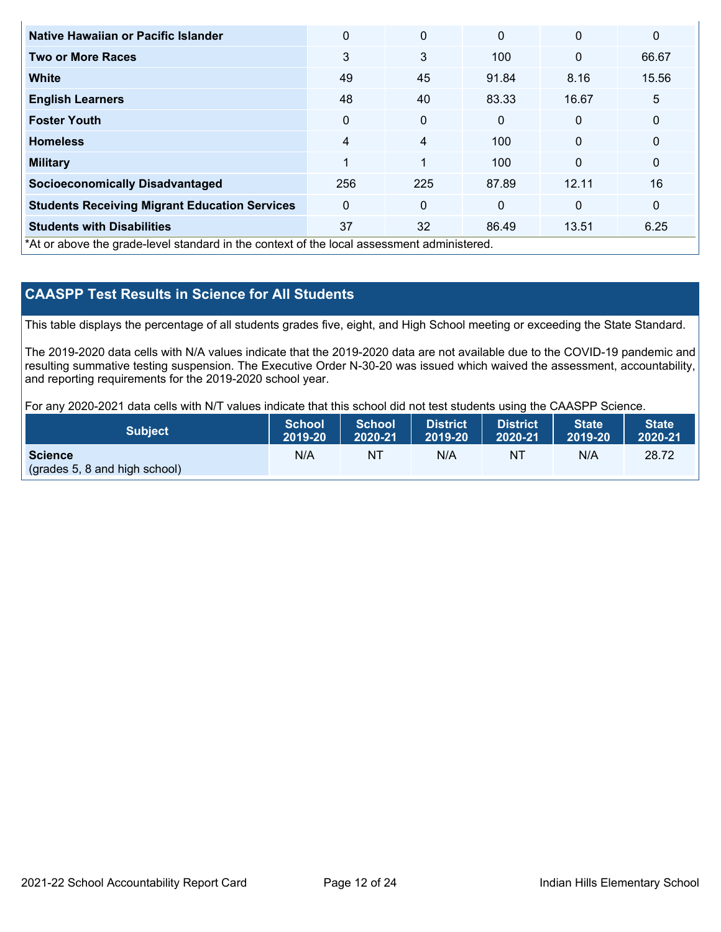| Native Hawaiian or Pacific Islander                                                        | $\Omega$       | $\mathbf{0}$   | $\mathbf{0}$ | $\mathbf{0}$ | 0            |
|--------------------------------------------------------------------------------------------|----------------|----------------|--------------|--------------|--------------|
| <b>Two or More Races</b>                                                                   | 3              | 3              | 100          | $\mathbf{0}$ | 66.67        |
| <b>White</b>                                                                               | 49             | 45             | 91.84        | 8.16         | 15.56        |
| <b>English Learners</b>                                                                    | 48             | 40             | 83.33        | 16.67        | 5            |
| <b>Foster Youth</b>                                                                        | $\Omega$       | 0              | $\mathbf{0}$ | $\mathbf{0}$ | $\mathbf{0}$ |
| <b>Homeless</b>                                                                            | $\overline{4}$ | 4              | 100          | $\mathbf{0}$ | $\mathbf 0$  |
| <b>Military</b>                                                                            | 1              | $\overline{1}$ | 100          | $\mathbf{0}$ | $\mathbf{0}$ |
| <b>Socioeconomically Disadvantaged</b>                                                     | 256            | 225            | 87.89        | 12.11        | 16           |
| <b>Students Receiving Migrant Education Services</b>                                       | $\mathbf{0}$   | $\Omega$       | $\mathbf{0}$ | $\mathbf{0}$ | $\mathbf 0$  |
| <b>Students with Disabilities</b>                                                          | 37             | 32             | 86.49        | 13.51        | 6.25         |
| *At or above the grade-level standard in the context of the local assessment administered. |                |                |              |              |              |

## **CAASPP Test Results in Science for All Students**

This table displays the percentage of all students grades five, eight, and High School meeting or exceeding the State Standard.

The 2019-2020 data cells with N/A values indicate that the 2019-2020 data are not available due to the COVID-19 pandemic and resulting summative testing suspension. The Executive Order N-30-20 was issued which waived the assessment, accountability, and reporting requirements for the 2019-2020 school year.

For any 2020-2021 data cells with N/T values indicate that this school did not test students using the CAASPP Science.

| <b>Subject</b>                           | School A                              | School          | <b>District</b> | District | <b>State</b> | <b>State</b> |
|------------------------------------------|---------------------------------------|-----------------|-----------------|----------|--------------|--------------|
|                                          | $\blacksquare$ 2019-20 $\blacksquare$ | $\vert$ 2020-21 | 2019-20         | 2020-21  | 2019-20      | 2020-21      |
| Science<br>(grades 5, 8 and high school) | N/A                                   | NT              | N/A             | N1       | N/A          | 28.72        |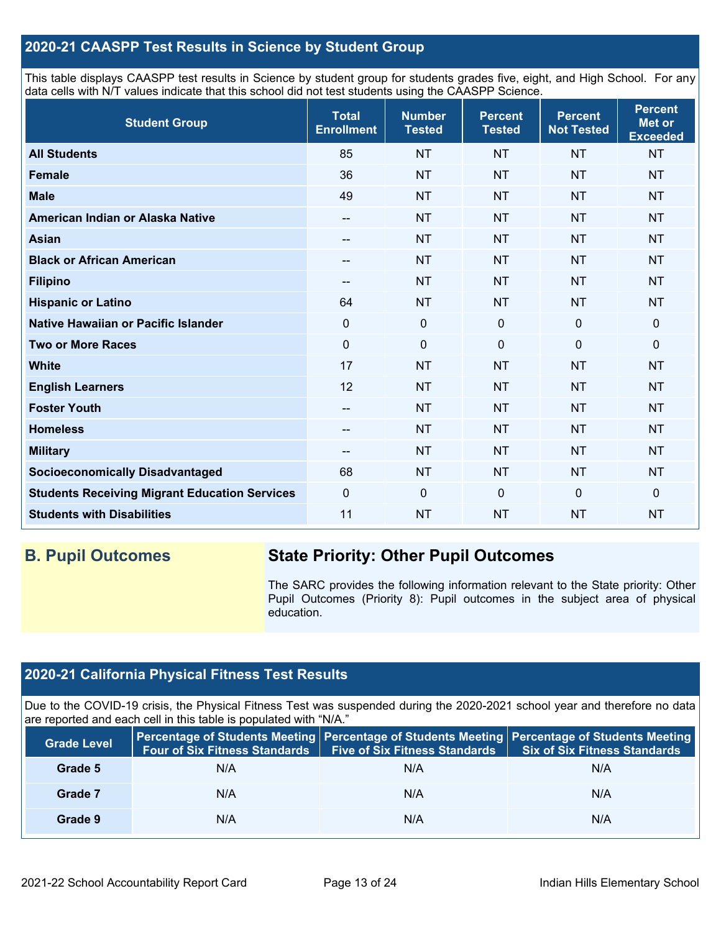### **2020-21 CAASPP Test Results in Science by Student Group**

This table displays CAASPP test results in Science by student group for students grades five, eight, and High School. For any data cells with N/T values indicate that this school did not test students using the CAASPP Science.

| <b>Student Group</b>                                 | <b>Total</b><br><b>Enrollment</b> | <b>Number</b><br><b>Tested</b> | <b>Percent</b><br><b>Tested</b> | <b>Percent</b><br><b>Not Tested</b> | <b>Percent</b><br><b>Met or</b><br><b>Exceeded</b> |
|------------------------------------------------------|-----------------------------------|--------------------------------|---------------------------------|-------------------------------------|----------------------------------------------------|
| <b>All Students</b>                                  | 85                                | <b>NT</b>                      | <b>NT</b>                       | <b>NT</b>                           | <b>NT</b>                                          |
| <b>Female</b>                                        | 36                                | <b>NT</b>                      | <b>NT</b>                       | <b>NT</b>                           | <b>NT</b>                                          |
| <b>Male</b>                                          | 49                                | <b>NT</b>                      | <b>NT</b>                       | <b>NT</b>                           | <b>NT</b>                                          |
| American Indian or Alaska Native                     | $\sim$                            | <b>NT</b>                      | <b>NT</b>                       | <b>NT</b>                           | <b>NT</b>                                          |
| <b>Asian</b>                                         | --                                | <b>NT</b>                      | <b>NT</b>                       | <b>NT</b>                           | <b>NT</b>                                          |
| <b>Black or African American</b>                     | --                                | <b>NT</b>                      | <b>NT</b>                       | <b>NT</b>                           | <b>NT</b>                                          |
| <b>Filipino</b>                                      | --                                | <b>NT</b>                      | <b>NT</b>                       | <b>NT</b>                           | <b>NT</b>                                          |
| <b>Hispanic or Latino</b>                            | 64                                | <b>NT</b>                      | <b>NT</b>                       | <b>NT</b>                           | <b>NT</b>                                          |
| Native Hawaiian or Pacific Islander                  | 0                                 | $\mathbf 0$                    | $\mathbf 0$                     | $\mathbf 0$                         | $\mathbf 0$                                        |
| <b>Two or More Races</b>                             | 0                                 | $\mathbf 0$                    | $\mathbf 0$                     | $\overline{0}$                      | 0                                                  |
| <b>White</b>                                         | 17                                | <b>NT</b>                      | <b>NT</b>                       | <b>NT</b>                           | <b>NT</b>                                          |
| <b>English Learners</b>                              | 12                                | <b>NT</b>                      | <b>NT</b>                       | <b>NT</b>                           | <b>NT</b>                                          |
| <b>Foster Youth</b>                                  | $\overline{\phantom{a}}$          | <b>NT</b>                      | <b>NT</b>                       | <b>NT</b>                           | <b>NT</b>                                          |
| <b>Homeless</b>                                      | --                                | <b>NT</b>                      | <b>NT</b>                       | <b>NT</b>                           | <b>NT</b>                                          |
| <b>Military</b>                                      | --                                | <b>NT</b>                      | <b>NT</b>                       | <b>NT</b>                           | <b>NT</b>                                          |
| <b>Socioeconomically Disadvantaged</b>               | 68                                | <b>NT</b>                      | <b>NT</b>                       | <b>NT</b>                           | <b>NT</b>                                          |
| <b>Students Receiving Migrant Education Services</b> | 0                                 | $\pmb{0}$                      | $\mathbf 0$                     | $\mathbf 0$                         | $\mathbf 0$                                        |
| <b>Students with Disabilities</b>                    | 11                                | <b>NT</b>                      | <b>NT</b>                       | <b>NT</b>                           | <b>NT</b>                                          |

## **B. Pupil Outcomes State Priority: Other Pupil Outcomes**

The SARC provides the following information relevant to the State priority: Other Pupil Outcomes (Priority 8): Pupil outcomes in the subject area of physical education.

## **2020-21 California Physical Fitness Test Results**

Due to the COVID-19 crisis, the Physical Fitness Test was suspended during the 2020-2021 school year and therefore no data are reported and each cell in this table is populated with "N/A."

| <b>Grade Level</b> | <b>Four of Six Fitness Standards</b> | <b>Five of Six Fitness Standards</b> | Percentage of Students Meeting   Percentage of Students Meeting   Percentage of Students Meeting<br><b>Six of Six Fitness Standards</b> |
|--------------------|--------------------------------------|--------------------------------------|-----------------------------------------------------------------------------------------------------------------------------------------|
| Grade 5            | N/A                                  | N/A                                  | N/A                                                                                                                                     |
| Grade 7            | N/A                                  | N/A                                  | N/A                                                                                                                                     |
| Grade 9            | N/A                                  | N/A                                  | N/A                                                                                                                                     |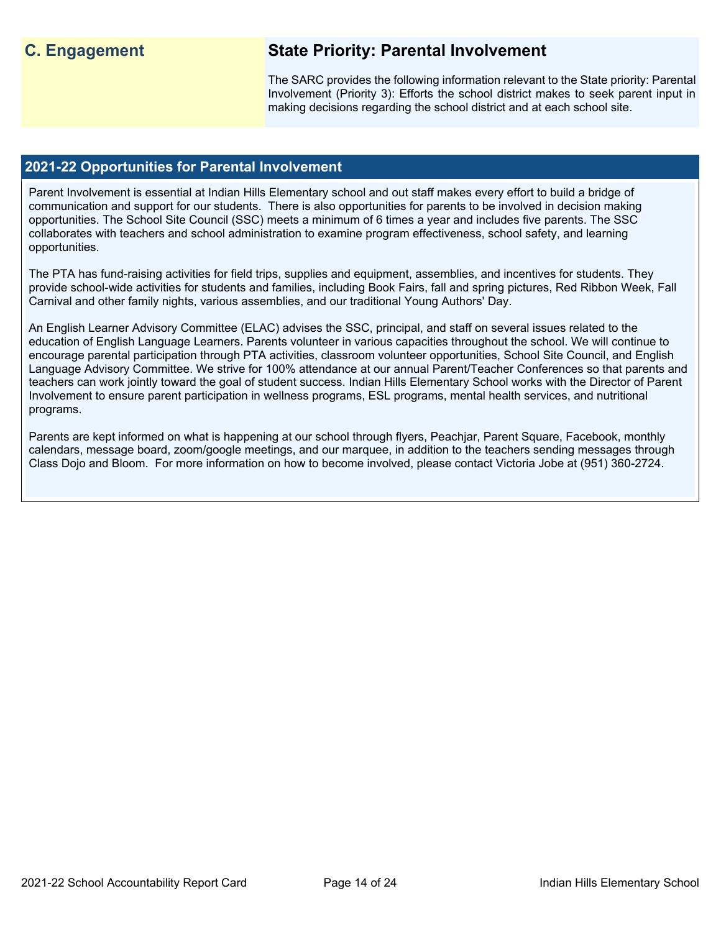## **C. Engagement State Priority: Parental Involvement**

The SARC provides the following information relevant to the State priority: Parental Involvement (Priority 3): Efforts the school district makes to seek parent input in making decisions regarding the school district and at each school site.

### **2021-22 Opportunities for Parental Involvement**

Parent Involvement is essential at Indian Hills Elementary school and out staff makes every effort to build a bridge of communication and support for our students. There is also opportunities for parents to be involved in decision making opportunities. The School Site Council (SSC) meets a minimum of 6 times a year and includes five parents. The SSC collaborates with teachers and school administration to examine program effectiveness, school safety, and learning opportunities.

The PTA has fund-raising activities for field trips, supplies and equipment, assemblies, and incentives for students. They provide school-wide activities for students and families, including Book Fairs, fall and spring pictures, Red Ribbon Week, Fall Carnival and other family nights, various assemblies, and our traditional Young Authors' Day.

An English Learner Advisory Committee (ELAC) advises the SSC, principal, and staff on several issues related to the education of English Language Learners. Parents volunteer in various capacities throughout the school. We will continue to encourage parental participation through PTA activities, classroom volunteer opportunities, School Site Council, and English Language Advisory Committee. We strive for 100% attendance at our annual Parent/Teacher Conferences so that parents and teachers can work jointly toward the goal of student success. Indian Hills Elementary School works with the Director of Parent Involvement to ensure parent participation in wellness programs, ESL programs, mental health services, and nutritional programs.

Parents are kept informed on what is happening at our school through flyers, Peachjar, Parent Square, Facebook, monthly calendars, message board, zoom/google meetings, and our marquee, in addition to the teachers sending messages through Class Dojo and Bloom. For more information on how to become involved, please contact Victoria Jobe at (951) 360-2724.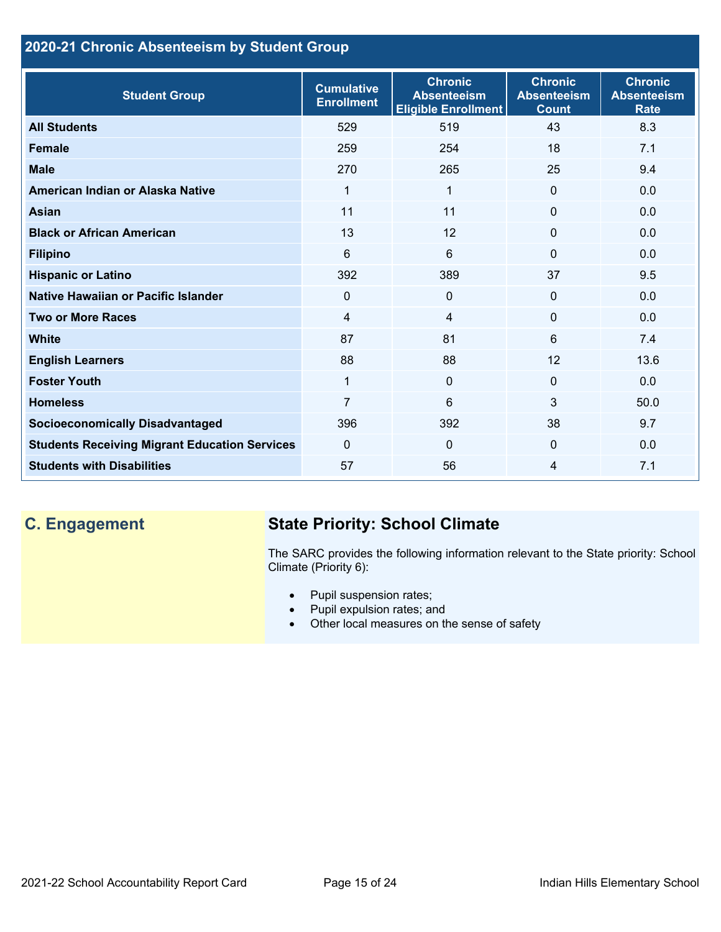## **2020-21 Chronic Absenteeism by Student Group**

| <b>Student Group</b>                                 | <b>Cumulative</b><br><b>Enrollment</b> | <b>Chronic</b><br><b>Absenteeism</b><br><b>Eligible Enrollment</b> | <b>Chronic</b><br><b>Absenteeism</b><br><b>Count</b> | <b>Chronic</b><br><b>Absenteeism</b><br><b>Rate</b> |
|------------------------------------------------------|----------------------------------------|--------------------------------------------------------------------|------------------------------------------------------|-----------------------------------------------------|
| <b>All Students</b>                                  | 529                                    | 519                                                                | 43                                                   | 8.3                                                 |
| <b>Female</b>                                        | 259                                    | 254                                                                | 18                                                   | 7.1                                                 |
| <b>Male</b>                                          | 270                                    | 265                                                                | 25                                                   | 9.4                                                 |
| American Indian or Alaska Native                     | 1                                      | 1                                                                  | $\Omega$                                             | 0.0                                                 |
| <b>Asian</b>                                         | 11                                     | 11                                                                 | $\mathbf 0$                                          | 0.0                                                 |
| <b>Black or African American</b>                     | 13                                     | 12                                                                 | $\mathbf{0}$                                         | 0.0                                                 |
| <b>Filipino</b>                                      | 6                                      | 6                                                                  | $\mathbf{0}$                                         | 0.0                                                 |
| <b>Hispanic or Latino</b>                            | 392                                    | 389                                                                | 37                                                   | 9.5                                                 |
| Native Hawaiian or Pacific Islander                  | 0                                      | $\mathbf 0$                                                        | $\mathbf{0}$                                         | 0.0                                                 |
| <b>Two or More Races</b>                             | 4                                      | $\overline{4}$                                                     | $\mathbf{0}$                                         | 0.0                                                 |
| <b>White</b>                                         | 87                                     | 81                                                                 | 6                                                    | 7.4                                                 |
| <b>English Learners</b>                              | 88                                     | 88                                                                 | 12                                                   | 13.6                                                |
| <b>Foster Youth</b>                                  | 1                                      | $\mathbf{0}$                                                       | $\mathbf{0}$                                         | 0.0                                                 |
| <b>Homeless</b>                                      | $\overline{7}$                         | 6                                                                  | 3                                                    | 50.0                                                |
| <b>Socioeconomically Disadvantaged</b>               | 396                                    | 392                                                                | 38                                                   | 9.7                                                 |
| <b>Students Receiving Migrant Education Services</b> | $\mathbf{0}$                           | $\Omega$                                                           | $\mathbf{0}$                                         | 0.0                                                 |
| <b>Students with Disabilities</b>                    | 57                                     | 56                                                                 | 4                                                    | 7.1                                                 |

## **C. Engagement State Priority: School Climate**

The SARC provides the following information relevant to the State priority: School Climate (Priority 6):

- Pupil suspension rates;
- Pupil expulsion rates; and
- Other local measures on the sense of safety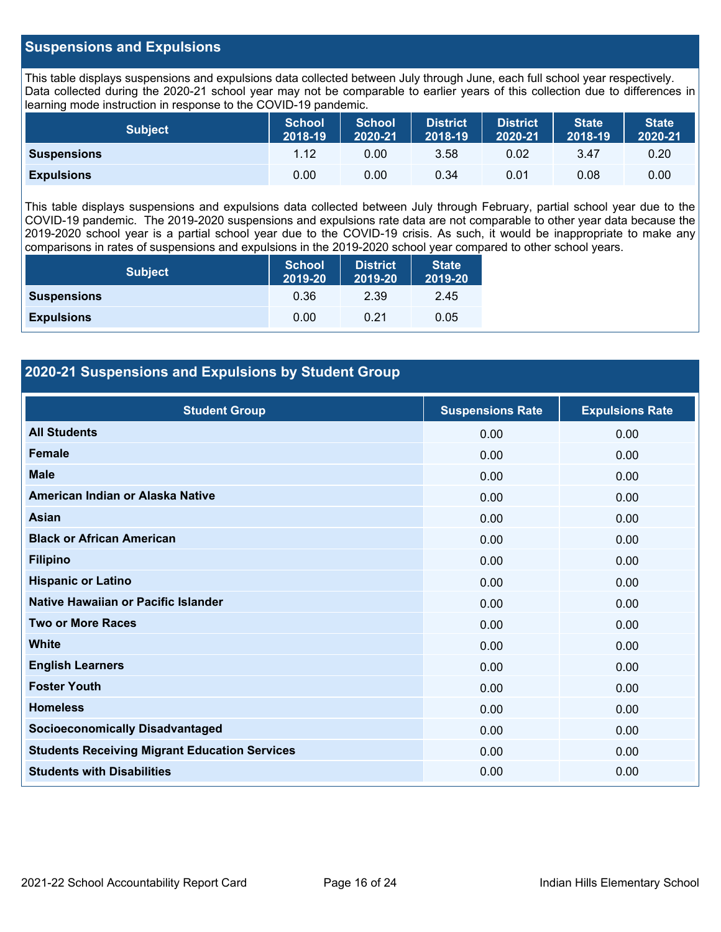### **Suspensions and Expulsions**

This table displays suspensions and expulsions data collected between July through June, each full school year respectively. Data collected during the 2020-21 school year may not be comparable to earlier years of this collection due to differences in learning mode instruction in response to the COVID-19 pandemic.

| <b>Subject</b>     | <b>School</b><br>2018-19 | <b>School</b><br>2020-21 | <b>District</b><br>2018-19 | <b>District</b><br>2020-21 | <b>State</b><br>2018-19 | <b>State</b><br>2020-21 |
|--------------------|--------------------------|--------------------------|----------------------------|----------------------------|-------------------------|-------------------------|
| <b>Suspensions</b> | 1.12                     | 0.00                     | 3.58                       | 0.02                       | 3.47                    | 0.20                    |
| <b>Expulsions</b>  | 0.00                     | 0.00                     | 0.34                       | 0.01                       | 0.08                    | 0.00                    |

This table displays suspensions and expulsions data collected between July through February, partial school year due to the COVID-19 pandemic. The 2019-2020 suspensions and expulsions rate data are not comparable to other year data because the 2019-2020 school year is a partial school year due to the COVID-19 crisis. As such, it would be inappropriate to make any comparisons in rates of suspensions and expulsions in the 2019-2020 school year compared to other school years.

| <b>Subject</b>     | <b>School</b><br>2019-20 | <b>District</b><br>2019-20 | <b>State</b><br>2019-20 |
|--------------------|--------------------------|----------------------------|-------------------------|
| <b>Suspensions</b> | 0.36                     | 2.39                       | 2.45                    |
| <b>Expulsions</b>  | 0.00                     | 0.21                       | 0.05                    |

### **2020-21 Suspensions and Expulsions by Student Group**

| <b>Student Group</b>                                 | <b>Suspensions Rate</b> | <b>Expulsions Rate</b> |
|------------------------------------------------------|-------------------------|------------------------|
| <b>All Students</b>                                  | 0.00                    | 0.00                   |
| <b>Female</b>                                        | 0.00                    | 0.00                   |
| <b>Male</b>                                          | 0.00                    | 0.00                   |
| American Indian or Alaska Native                     | 0.00                    | 0.00                   |
| Asian                                                | 0.00                    | 0.00                   |
| <b>Black or African American</b>                     | 0.00                    | 0.00                   |
| <b>Filipino</b>                                      | 0.00                    | 0.00                   |
| <b>Hispanic or Latino</b>                            | 0.00                    | 0.00                   |
| Native Hawaiian or Pacific Islander                  | 0.00                    | 0.00                   |
| <b>Two or More Races</b>                             | 0.00                    | 0.00                   |
| <b>White</b>                                         | 0.00                    | 0.00                   |
| <b>English Learners</b>                              | 0.00                    | 0.00                   |
| <b>Foster Youth</b>                                  | 0.00                    | 0.00                   |
| <b>Homeless</b>                                      | 0.00                    | 0.00                   |
| <b>Socioeconomically Disadvantaged</b>               | 0.00                    | 0.00                   |
| <b>Students Receiving Migrant Education Services</b> | 0.00                    | 0.00                   |
| <b>Students with Disabilities</b>                    | 0.00                    | 0.00                   |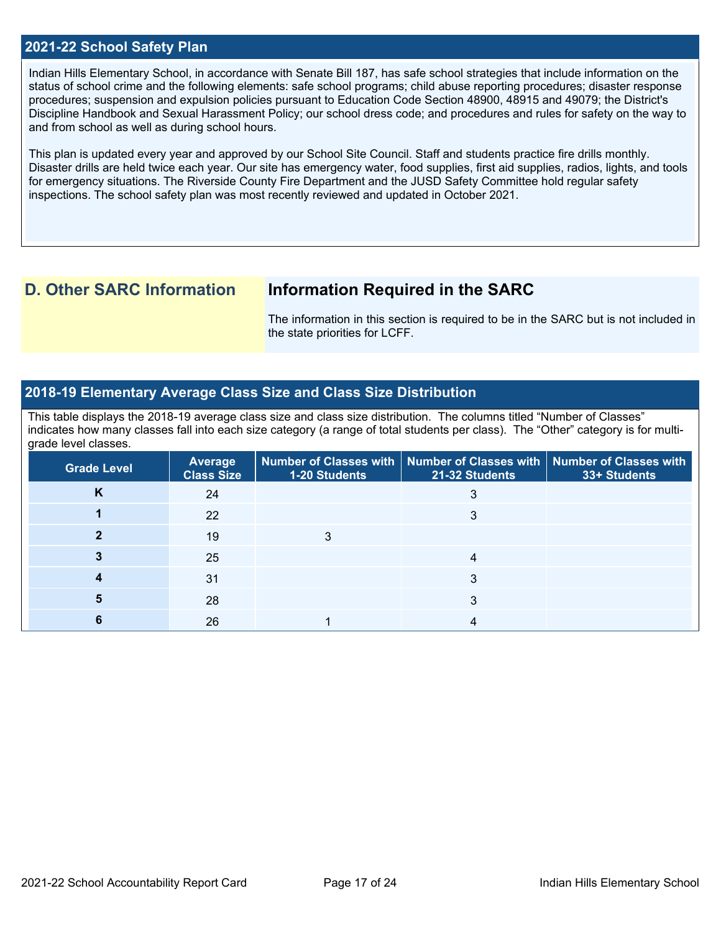### **2021-22 School Safety Plan**

Indian Hills Elementary School, in accordance with Senate Bill 187, has safe school strategies that include information on the status of school crime and the following elements: safe school programs; child abuse reporting procedures; disaster response procedures; suspension and expulsion policies pursuant to Education Code Section 48900, 48915 and 49079; the District's Discipline Handbook and Sexual Harassment Policy; our school dress code; and procedures and rules for safety on the way to and from school as well as during school hours.

This plan is updated every year and approved by our School Site Council. Staff and students practice fire drills monthly. Disaster drills are held twice each year. Our site has emergency water, food supplies, first aid supplies, radios, lights, and tools for emergency situations. The Riverside County Fire Department and the JUSD Safety Committee hold regular safety inspections. The school safety plan was most recently reviewed and updated in October 2021.

## **D. Other SARC Information Information Required in the SARC**

The information in this section is required to be in the SARC but is not included in the state priorities for LCFF.

### **2018-19 Elementary Average Class Size and Class Size Distribution**

This table displays the 2018-19 average class size and class size distribution. The columns titled "Number of Classes" indicates how many classes fall into each size category (a range of total students per class). The "Other" category is for multigrade level classes.

| <b>Grade Level</b> | <b>Average</b><br><b>Class Size</b> | <b>1-20 Students</b> | Number of Classes with   Number of Classes with   Number of Classes with<br>21-32 Students | 33+ Students |
|--------------------|-------------------------------------|----------------------|--------------------------------------------------------------------------------------------|--------------|
| Κ                  | 24                                  |                      |                                                                                            |              |
|                    | 22                                  |                      |                                                                                            |              |
|                    | 19                                  |                      |                                                                                            |              |
|                    | 25                                  |                      |                                                                                            |              |
|                    | 31                                  |                      |                                                                                            |              |
|                    | 28                                  |                      | 3                                                                                          |              |
|                    | 26                                  |                      |                                                                                            |              |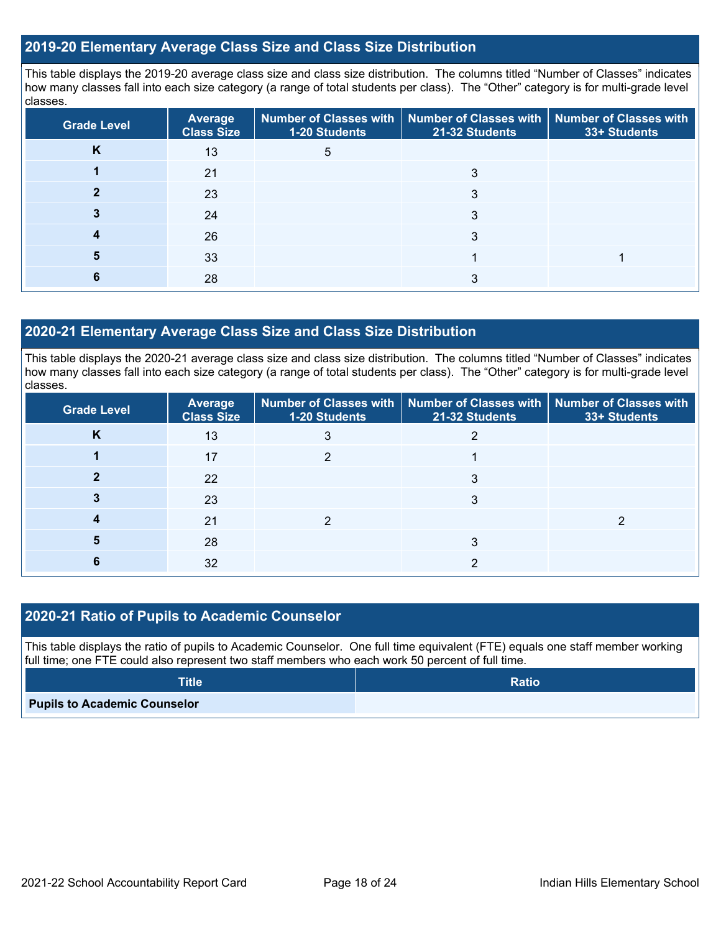### **2019-20 Elementary Average Class Size and Class Size Distribution**

This table displays the 2019-20 average class size and class size distribution. The columns titled "Number of Classes" indicates how many classes fall into each size category (a range of total students per class). The "Other" category is for multi-grade level classes.

| <b>Grade Level</b> | <b>Average</b><br><b>Class Size</b> | 1-20 Students | Number of Classes with   Number of Classes with   Number of Classes with<br>21-32 Students | 33+ Students |
|--------------------|-------------------------------------|---------------|--------------------------------------------------------------------------------------------|--------------|
| <b>N</b>           | 13                                  | 5             |                                                                                            |              |
|                    | 21                                  |               | 3                                                                                          |              |
|                    | 23                                  |               |                                                                                            |              |
|                    | 24                                  |               | 3                                                                                          |              |
|                    | 26                                  |               | 3                                                                                          |              |
|                    | 33                                  |               |                                                                                            |              |
|                    | 28                                  |               | ົ                                                                                          |              |

### **2020-21 Elementary Average Class Size and Class Size Distribution**

This table displays the 2020-21 average class size and class size distribution. The columns titled "Number of Classes" indicates how many classes fall into each size category (a range of total students per class). The "Other" category is for multi-grade level classes.

| <b>Grade Level</b> | <b>Average</b><br><b>Class Size</b> | <b>1-20 Students</b> | Number of Classes with   Number of Classes with   Number of Classes with<br>21-32 Students | 33+ Students |
|--------------------|-------------------------------------|----------------------|--------------------------------------------------------------------------------------------|--------------|
| ĸ                  | 13                                  |                      |                                                                                            |              |
|                    | 17                                  |                      |                                                                                            |              |
|                    | 22                                  |                      |                                                                                            |              |
|                    | 23                                  |                      |                                                                                            |              |
|                    | 21                                  |                      |                                                                                            |              |
|                    | 28                                  |                      |                                                                                            |              |
|                    | 32                                  |                      |                                                                                            |              |

### **2020-21 Ratio of Pupils to Academic Counselor**

This table displays the ratio of pupils to Academic Counselor. One full time equivalent (FTE) equals one staff member working full time; one FTE could also represent two staff members who each work 50 percent of full time.

| <b>Title</b>                        | <b>Ratio</b> |
|-------------------------------------|--------------|
| <b>Pupils to Academic Counselor</b> |              |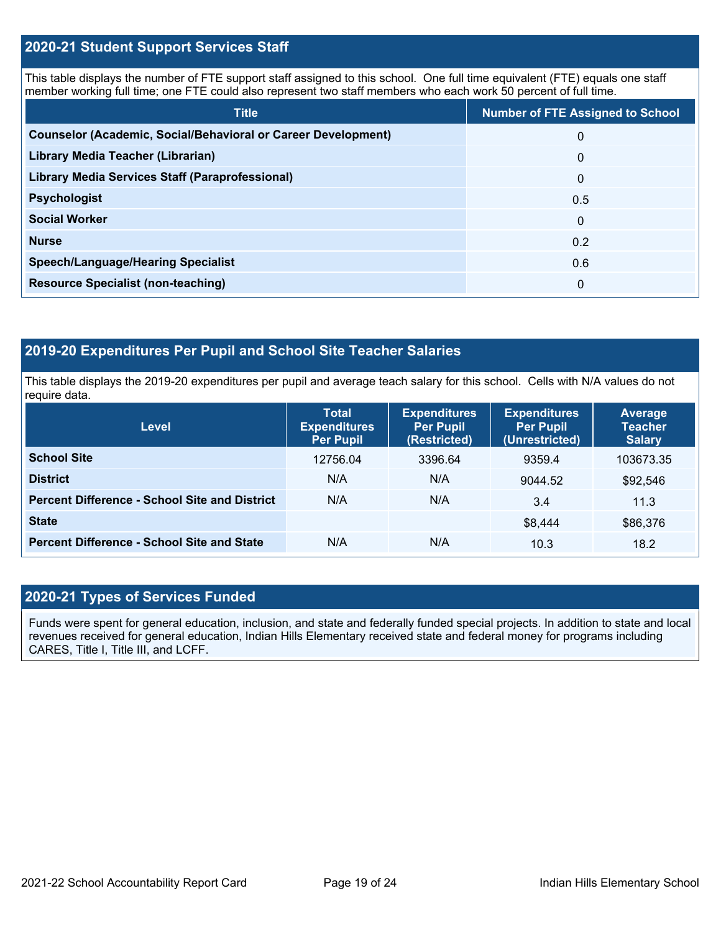### **2020-21 Student Support Services Staff**

This table displays the number of FTE support staff assigned to this school. One full time equivalent (FTE) equals one staff member working full time; one FTE could also represent two staff members who each work 50 percent of full time.

| <b>Title</b>                                                         | <b>Number of FTE Assigned to School</b> |
|----------------------------------------------------------------------|-----------------------------------------|
| <b>Counselor (Academic, Social/Behavioral or Career Development)</b> | $\Omega$                                |
| Library Media Teacher (Librarian)                                    | $\mathbf{0}$                            |
| <b>Library Media Services Staff (Paraprofessional)</b>               | $\mathbf{0}$                            |
| <b>Psychologist</b>                                                  | 0.5                                     |
| <b>Social Worker</b>                                                 | $\mathbf{0}$                            |
| <b>Nurse</b>                                                         | 0.2                                     |
| <b>Speech/Language/Hearing Specialist</b>                            | 0.6                                     |
| <b>Resource Specialist (non-teaching)</b>                            | $\Omega$                                |

## **2019-20 Expenditures Per Pupil and School Site Teacher Salaries**

This table displays the 2019-20 expenditures per pupil and average teach salary for this school. Cells with N/A values do not require data.

| <b>Level</b>                                         | <b>Total</b><br><b>Expenditures</b><br><b>Per Pupil</b> | <b>Expenditures</b><br><b>Per Pupil</b><br>(Restricted) | <b>Expenditures</b><br><b>Per Pupil</b><br>(Unrestricted) | Average<br><b>Teacher</b><br><b>Salary</b> |
|------------------------------------------------------|---------------------------------------------------------|---------------------------------------------------------|-----------------------------------------------------------|--------------------------------------------|
| <b>School Site</b>                                   | 12756.04                                                | 3396.64                                                 | 9359.4                                                    | 103673.35                                  |
| <b>District</b>                                      | N/A                                                     | N/A                                                     | 9044.52                                                   | \$92,546                                   |
| <b>Percent Difference - School Site and District</b> | N/A                                                     | N/A                                                     | 3.4                                                       | 11.3                                       |
| <b>State</b>                                         |                                                         |                                                         | \$8,444                                                   | \$86,376                                   |
| <b>Percent Difference - School Site and State</b>    | N/A                                                     | N/A                                                     | 10.3                                                      | 18.2                                       |

## **2020-21 Types of Services Funded**

Funds were spent for general education, inclusion, and state and federally funded special projects. In addition to state and local revenues received for general education, Indian Hills Elementary received state and federal money for programs including CARES, Title I, Title III, and LCFF.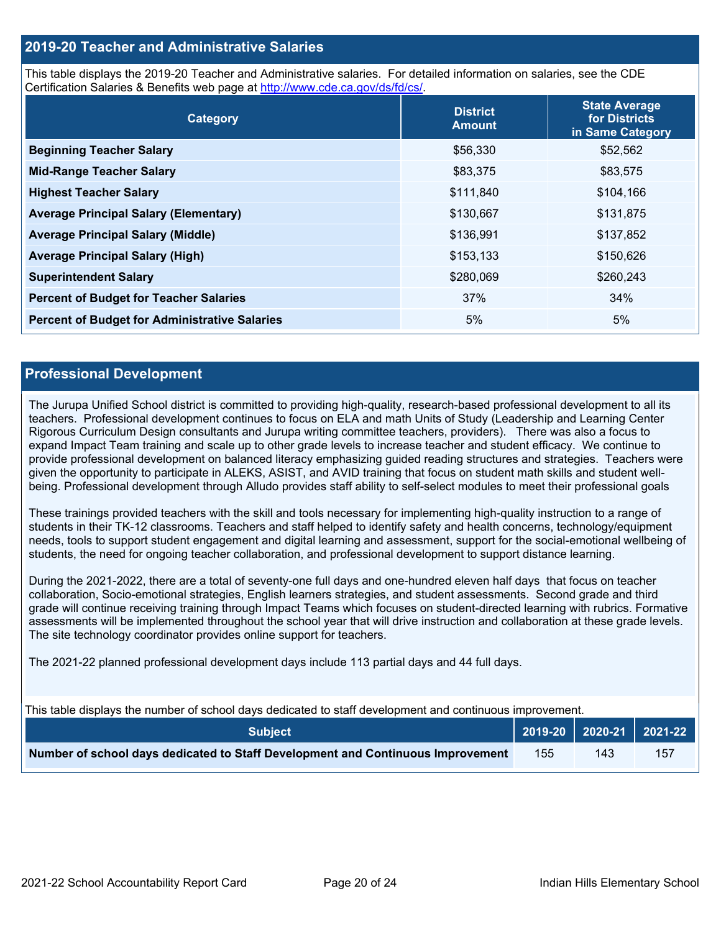### **2019-20 Teacher and Administrative Salaries**

This table displays the 2019-20 Teacher and Administrative salaries. For detailed information on salaries, see the CDE Certification Salaries & Benefits web page at [http://www.cde.ca.gov/ds/fd/cs/.](http://www.cde.ca.gov/ds/fd/cs/)

| Category                                             | <b>District</b><br><b>Amount</b> | <b>State Average</b><br>for Districts<br>in Same Category |
|------------------------------------------------------|----------------------------------|-----------------------------------------------------------|
| <b>Beginning Teacher Salary</b>                      | \$56,330                         | \$52,562                                                  |
| <b>Mid-Range Teacher Salary</b>                      | \$83,375                         | \$83,575                                                  |
| <b>Highest Teacher Salary</b>                        | \$111,840                        | \$104,166                                                 |
| <b>Average Principal Salary (Elementary)</b>         | \$130,667                        | \$131,875                                                 |
| <b>Average Principal Salary (Middle)</b>             | \$136,991                        | \$137,852                                                 |
| <b>Average Principal Salary (High)</b>               | \$153,133                        | \$150,626                                                 |
| <b>Superintendent Salary</b>                         | \$280,069                        | \$260,243                                                 |
| <b>Percent of Budget for Teacher Salaries</b>        | 37%                              | 34%                                                       |
| <b>Percent of Budget for Administrative Salaries</b> | 5%                               | 5%                                                        |

### **Professional Development**

The Jurupa Unified School district is committed to providing high-quality, research-based professional development to all its teachers. Professional development continues to focus on ELA and math Units of Study (Leadership and Learning Center Rigorous Curriculum Design consultants and Jurupa writing committee teachers, providers). There was also a focus to expand Impact Team training and scale up to other grade levels to increase teacher and student efficacy. We continue to provide professional development on balanced literacy emphasizing guided reading structures and strategies. Teachers were given the opportunity to participate in ALEKS, ASIST, and AVID training that focus on student math skills and student wellbeing. Professional development through Alludo provides staff ability to self-select modules to meet their professional goals

These trainings provided teachers with the skill and tools necessary for implementing high-quality instruction to a range of students in their TK-12 classrooms. Teachers and staff helped to identify safety and health concerns, technology/equipment needs, tools to support student engagement and digital learning and assessment, support for the social-emotional wellbeing of students, the need for ongoing teacher collaboration, and professional development to support distance learning.

During the 2021-2022, there are a total of seventy-one full days and one-hundred eleven half days that focus on teacher collaboration, Socio-emotional strategies, English learners strategies, and student assessments. Second grade and third grade will continue receiving training through Impact Teams which focuses on student-directed learning with rubrics. Formative assessments will be implemented throughout the school year that will drive instruction and collaboration at these grade levels. The site technology coordinator provides online support for teachers.

The 2021-22 planned professional development days include 113 partial days and 44 full days.

This table displays the number of school days dedicated to staff development and continuous improvement.

| <b>Subject</b>                                                                  |     |     | 2019-20 2020-21 2021-22 |
|---------------------------------------------------------------------------------|-----|-----|-------------------------|
| Number of school days dedicated to Staff Development and Continuous Improvement | 155 | 143 | 157                     |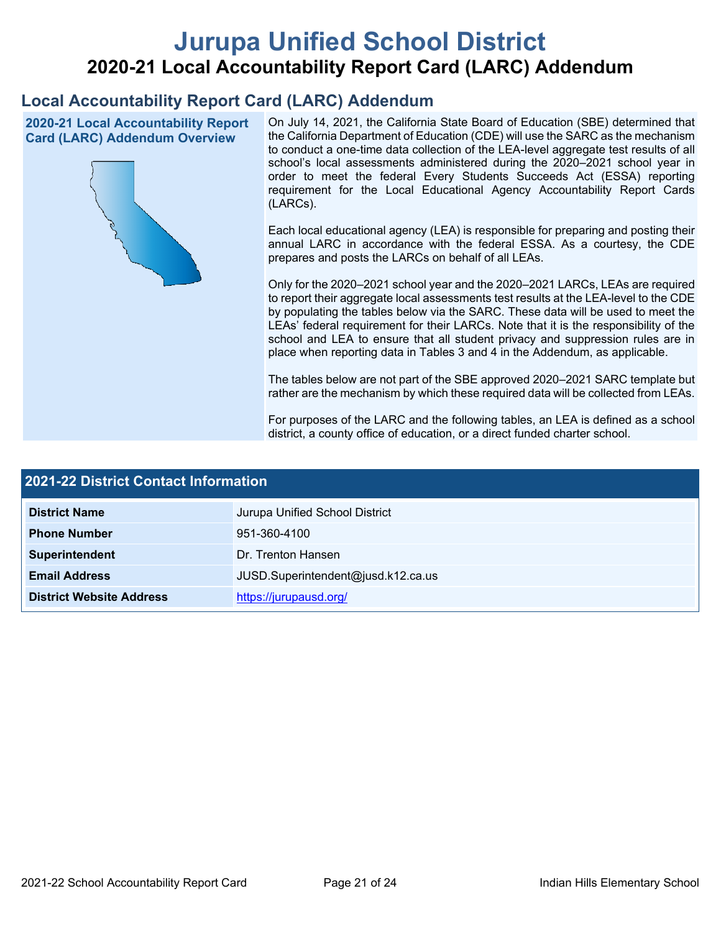# **Jurupa Unified School District 2020-21 Local Accountability Report Card (LARC) Addendum**

## **Local Accountability Report Card (LARC) Addendum**

**2020-21 Local Accountability Report Card (LARC) Addendum Overview**



On July 14, 2021, the California State Board of Education (SBE) determined that the California Department of Education (CDE) will use the SARC as the mechanism to conduct a one-time data collection of the LEA-level aggregate test results of all school's local assessments administered during the 2020–2021 school year in order to meet the federal Every Students Succeeds Act (ESSA) reporting requirement for the Local Educational Agency Accountability Report Cards (LARCs).

Each local educational agency (LEA) is responsible for preparing and posting their annual LARC in accordance with the federal ESSA. As a courtesy, the CDE prepares and posts the LARCs on behalf of all LEAs.

Only for the 2020–2021 school year and the 2020–2021 LARCs, LEAs are required to report their aggregate local assessments test results at the LEA-level to the CDE by populating the tables below via the SARC. These data will be used to meet the LEAs' federal requirement for their LARCs. Note that it is the responsibility of the school and LEA to ensure that all student privacy and suppression rules are in place when reporting data in Tables 3 and 4 in the Addendum, as applicable.

The tables below are not part of the SBE approved 2020–2021 SARC template but rather are the mechanism by which these required data will be collected from LEAs.

For purposes of the LARC and the following tables, an LEA is defined as a school district, a county office of education, or a direct funded charter school.

| <b>2021-22 District Contact Information</b> |                                    |  |  |  |
|---------------------------------------------|------------------------------------|--|--|--|
| <b>District Name</b>                        | Jurupa Unified School District     |  |  |  |
| <b>Phone Number</b>                         | 951-360-4100                       |  |  |  |
| Superintendent                              | Dr. Trenton Hansen                 |  |  |  |
| <b>Email Address</b>                        | JUSD.Superintendent@jusd.k12.ca.us |  |  |  |
| <b>District Website Address</b>             | https://jurupausd.org/             |  |  |  |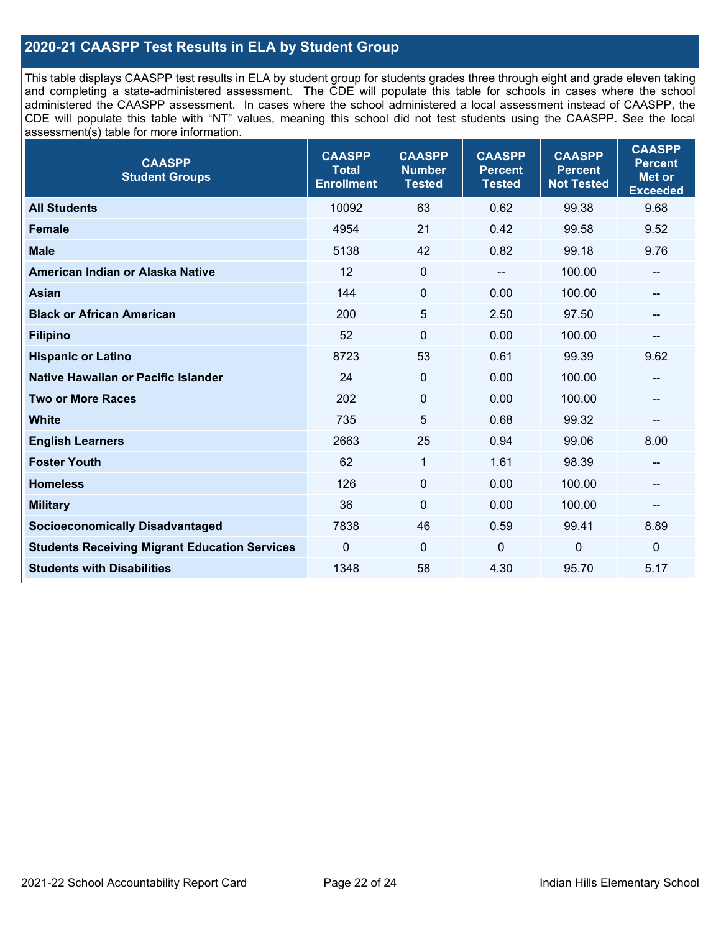## **2020-21 CAASPP Test Results in ELA by Student Group**

This table displays CAASPP test results in ELA by student group for students grades three through eight and grade eleven taking and completing a state-administered assessment. The CDE will populate this table for schools in cases where the school administered the CAASPP assessment. In cases where the school administered a local assessment instead of CAASPP, the CDE will populate this table with "NT" values, meaning this school did not test students using the CAASPP. See the local assessment(s) table for more information.

| <b>CAASPP</b><br><b>Student Groups</b>               | <b>CAASPP</b><br><b>Total</b><br><b>Enrollment</b> | <b>CAASPP</b><br><b>Number</b><br><b>Tested</b> | <b>CAASPP</b><br><b>Percent</b><br><b>Tested</b> | <b>CAASPP</b><br><b>Percent</b><br><b>Not Tested</b> | <b>CAASPP</b><br><b>Percent</b><br>Met or<br><b>Exceeded</b> |
|------------------------------------------------------|----------------------------------------------------|-------------------------------------------------|--------------------------------------------------|------------------------------------------------------|--------------------------------------------------------------|
| <b>All Students</b>                                  | 10092                                              | 63                                              | 0.62                                             | 99.38                                                | 9.68                                                         |
| <b>Female</b>                                        | 4954                                               | 21                                              | 0.42                                             | 99.58                                                | 9.52                                                         |
| <b>Male</b>                                          | 5138                                               | 42                                              | 0.82                                             | 99.18                                                | 9.76                                                         |
| American Indian or Alaska Native                     | 12                                                 | $\mathbf 0$                                     | --                                               | 100.00                                               | --                                                           |
| <b>Asian</b>                                         | 144                                                | $\pmb{0}$                                       | 0.00                                             | 100.00                                               | --                                                           |
| <b>Black or African American</b>                     | 200                                                | 5                                               | 2.50                                             | 97.50                                                | $-$                                                          |
| <b>Filipino</b>                                      | 52                                                 | $\pmb{0}$                                       | 0.00                                             | 100.00                                               | --                                                           |
| <b>Hispanic or Latino</b>                            | 8723                                               | 53                                              | 0.61                                             | 99.39                                                | 9.62                                                         |
| Native Hawaiian or Pacific Islander                  | 24                                                 | $\mathbf 0$                                     | 0.00                                             | 100.00                                               | --                                                           |
| <b>Two or More Races</b>                             | 202                                                | $\pmb{0}$                                       | 0.00                                             | 100.00                                               | --                                                           |
| <b>White</b>                                         | 735                                                | 5                                               | 0.68                                             | 99.32                                                | --                                                           |
| <b>English Learners</b>                              | 2663                                               | 25                                              | 0.94                                             | 99.06                                                | 8.00                                                         |
| <b>Foster Youth</b>                                  | 62                                                 | $\mathbf 1$                                     | 1.61                                             | 98.39                                                | --                                                           |
| <b>Homeless</b>                                      | 126                                                | $\mathbf 0$                                     | 0.00                                             | 100.00                                               | --                                                           |
| <b>Military</b>                                      | 36                                                 | $\mathbf 0$                                     | 0.00                                             | 100.00                                               | --                                                           |
| <b>Socioeconomically Disadvantaged</b>               | 7838                                               | 46                                              | 0.59                                             | 99.41                                                | 8.89                                                         |
| <b>Students Receiving Migrant Education Services</b> | $\Omega$                                           | $\mathbf 0$                                     | $\Omega$                                         | $\mathbf 0$                                          | 0                                                            |
| <b>Students with Disabilities</b>                    | 1348                                               | 58                                              | 4.30                                             | 95.70                                                | 5.17                                                         |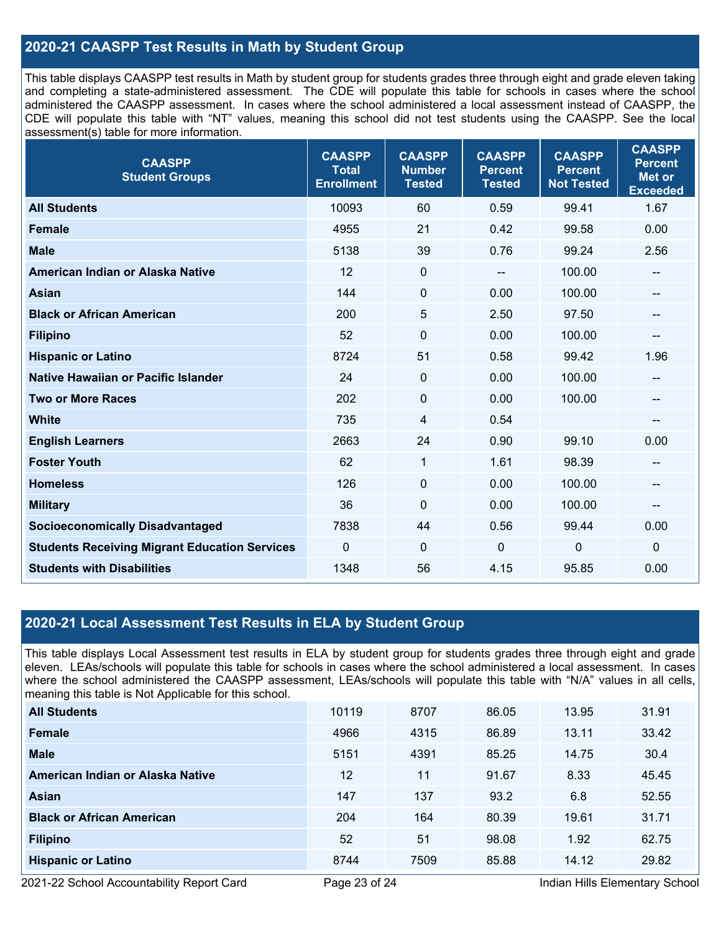## **2020-21 CAASPP Test Results in Math by Student Group**

This table displays CAASPP test results in Math by student group for students grades three through eight and grade eleven taking and completing a state-administered assessment. The CDE will populate this table for schools in cases where the school administered the CAASPP assessment. In cases where the school administered a local assessment instead of CAASPP, the CDE will populate this table with "NT" values, meaning this school did not test students using the CAASPP. See the local assessment(s) table for more information.

| <b>CAASPP</b><br><b>Student Groups</b>               | <b>CAASPP</b><br><b>Total</b><br><b>Enrollment</b> | <b>CAASPP</b><br><b>Number</b><br><b>Tested</b> | <b>CAASPP</b><br><b>Percent</b><br><b>Tested</b> | <b>CAASPP</b><br><b>Percent</b><br><b>Not Tested</b> | <b>CAASPP</b><br><b>Percent</b><br><b>Met or</b><br><b>Exceeded</b> |
|------------------------------------------------------|----------------------------------------------------|-------------------------------------------------|--------------------------------------------------|------------------------------------------------------|---------------------------------------------------------------------|
| <b>All Students</b>                                  | 10093                                              | 60                                              | 0.59                                             | 99.41                                                | 1.67                                                                |
| <b>Female</b>                                        | 4955                                               | 21                                              | 0.42                                             | 99.58                                                | 0.00                                                                |
| <b>Male</b>                                          | 5138                                               | 39                                              | 0.76                                             | 99.24                                                | 2.56                                                                |
| American Indian or Alaska Native                     | 12                                                 | $\pmb{0}$                                       |                                                  | 100.00                                               | --                                                                  |
| <b>Asian</b>                                         | 144                                                | 0                                               | 0.00                                             | 100.00                                               | --                                                                  |
| <b>Black or African American</b>                     | 200                                                | 5                                               | 2.50                                             | 97.50                                                | --                                                                  |
| <b>Filipino</b>                                      | 52                                                 | $\mathbf 0$                                     | 0.00                                             | 100.00                                               | --                                                                  |
| <b>Hispanic or Latino</b>                            | 8724                                               | 51                                              | 0.58                                             | 99.42                                                | 1.96                                                                |
| Native Hawaiian or Pacific Islander                  | 24                                                 | $\mathbf 0$                                     | 0.00                                             | 100.00                                               | --                                                                  |
| <b>Two or More Races</b>                             | 202                                                | $\pmb{0}$                                       | 0.00                                             | 100.00                                               | --                                                                  |
| <b>White</b>                                         | 735                                                | 4                                               | 0.54                                             |                                                      | $\qquad \qquad \qquad -$                                            |
| <b>English Learners</b>                              | 2663                                               | 24                                              | 0.90                                             | 99.10                                                | 0.00                                                                |
| <b>Foster Youth</b>                                  | 62                                                 | $\mathbf{1}$                                    | 1.61                                             | 98.39                                                | --                                                                  |
| <b>Homeless</b>                                      | 126                                                | $\mathbf 0$                                     | 0.00                                             | 100.00                                               | $\qquad \qquad \qquad -$                                            |
| <b>Military</b>                                      | 36                                                 | 0                                               | 0.00                                             | 100.00                                               | --                                                                  |
| <b>Socioeconomically Disadvantaged</b>               | 7838                                               | 44                                              | 0.56                                             | 99.44                                                | 0.00                                                                |
| <b>Students Receiving Migrant Education Services</b> | 0                                                  | 0                                               | $\mathbf 0$                                      | 0                                                    | $\mathbf 0$                                                         |
| <b>Students with Disabilities</b>                    | 1348                                               | 56                                              | 4.15                                             | 95.85                                                | 0.00                                                                |

### **2020-21 Local Assessment Test Results in ELA by Student Group**

This table displays Local Assessment test results in ELA by student group for students grades three through eight and grade eleven. LEAs/schools will populate this table for schools in cases where the school administered a local assessment. In cases where the school administered the CAASPP assessment, LEAs/schools will populate this table with "N/A" values in all cells, meaning this table is Not Applicable for this school.

| <b>All Students</b>              | 10119 | 8707 | 86.05 | 13.95 | 31.91 |
|----------------------------------|-------|------|-------|-------|-------|
| <b>Female</b>                    | 4966  | 4315 | 86.89 | 13.11 | 33.42 |
| <b>Male</b>                      | 5151  | 4391 | 85.25 | 14.75 | 30.4  |
| American Indian or Alaska Native | 12    | 11   | 91.67 | 8.33  | 45.45 |
| Asian                            | 147   | 137  | 93.2  | 6.8   | 52.55 |
| <b>Black or African American</b> | 204   | 164  | 80.39 | 19.61 | 31.71 |
| <b>Filipino</b>                  | 52    | 51   | 98.08 | 1.92  | 62.75 |
| <b>Hispanic or Latino</b>        | 8744  | 7509 | 85.88 | 14.12 | 29.82 |

2021-22 School Accountability Report Card **Page 23 of 24** Indian Hills Elementary School